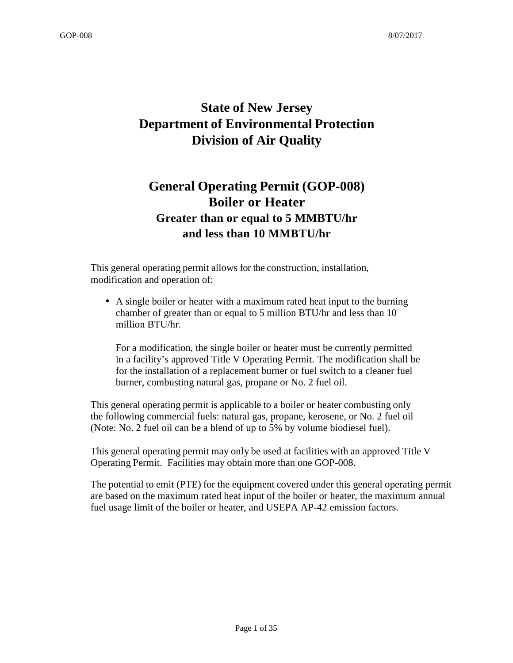# **State of New Jersey Department of Environmental Protection Division of Air Quality**

# **General Operating Permit (GOP-008) Boiler or Heater Greater than or equal to 5 MMBTU/hr and less than 10 MMBTU/hr**

This general operating permit allows for the construction, installation, modification and operation of:

• A single boiler or heater with a maximum rated heat input to the burning chamber of greater than or equal to 5 million BTU/hr and less than 10 million BTU/hr.

For a modification, the single boiler or heater must be currently permitted in a facility's approved Title V Operating Permit. The modification shall be for the installation of a replacement burner or fuel switch to a cleaner fuel burner, combusting natural gas, propane or No. 2 fuel oil.

This general operating permit is applicable to a boiler or heater combusting only the following commercial fuels: natural gas, propane, kerosene, or No. 2 fuel oil (Note: No. 2 fuel oil can be a blend of up to 5% by volume biodiesel fuel).

This general operating permit may only be used at facilities with an approved Title V Operating Permit. Facilities may obtain more than one GOP-008.

The potential to emit (PTE) for the equipment covered under this general operating permit are based on the maximum rated heat input of the boiler or heater, the maximum annual fuel usage limit of the boiler or heater, and USEPA AP-42 emission factors.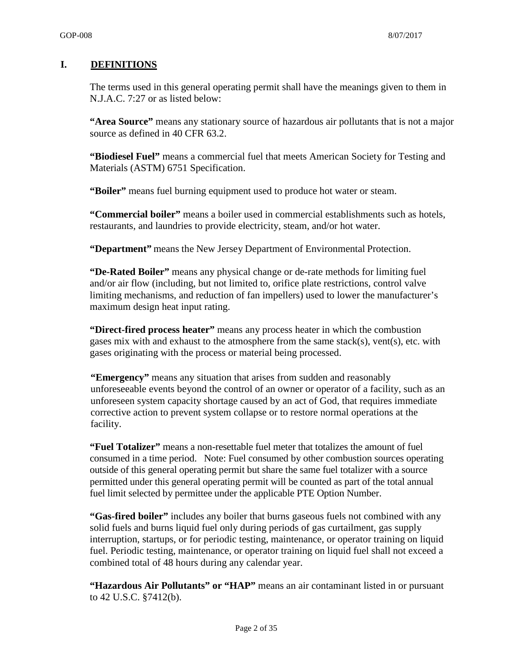#### **I. DEFINITIONS**

The terms used in this general operating permit shall have the meanings given to them in N.J.A.C. 7:27 or as listed below:

**"Area Source"** means any stationary source of hazardous air pollutants that is not a major source as defined in 40 CFR 63.2.

**"Biodiesel Fuel"** means a commercial fuel that meets American Society for Testing and Materials (ASTM) 6751 Specification.

**"Boiler"** means fuel burning equipment used to produce hot water or steam.

**"Commercial boiler"** means a boiler used in commercial establishments such as hotels, restaurants, and laundries to provide electricity, steam, and/or hot water.

**"Department"** means the New Jersey Department of Environmental Protection.

**"De-Rated Boiler"** means any physical change or de-rate methods for limiting fuel and/or air flow (including, but not limited to, orifice plate restrictions, control valve limiting mechanisms, and reduction of fan impellers) used to lower the manufacturer's maximum design heat input rating.

**"Direct-fired process heater"** means any process heater in which the combustion gases mix with and exhaust to the atmosphere from the same stack(s), vent(s), etc. with gases originating with the process or material being processed.

**"Emergency"** means any situation that arises from sudden and reasonably unforeseeable events beyond the control of an owner or operator of a facility, such as an unforeseen system capacity shortage caused by an act of God, that requires immediate corrective action to prevent system collapse or to restore normal operations at the facility.

**"Fuel Totalizer"** means a non-resettable fuel meter that totalizes the amount of fuel consumed in a time period. Note: Fuel consumed by other combustion sources operating outside of this general operating permit but share the same fuel totalizer with a source permitted under this general operating permit will be counted as part of the total annual fuel limit selected by permittee under the applicable PTE Option Number.

**"Gas-fired boiler"** includes any boiler that burns gaseous fuels not combined with any solid fuels and burns liquid fuel only during periods of gas curtailment, gas supply interruption, startups, or for periodic testing, maintenance, or operator training on liquid fuel. Periodic testing, maintenance, or operator training on liquid fuel shall not exceed a combined total of 48 hours during any calendar year.

**"Hazardous Air Pollutants" or "HAP"** means an air contaminant listed in or pursuant to 42 U.S.C. §7412(b).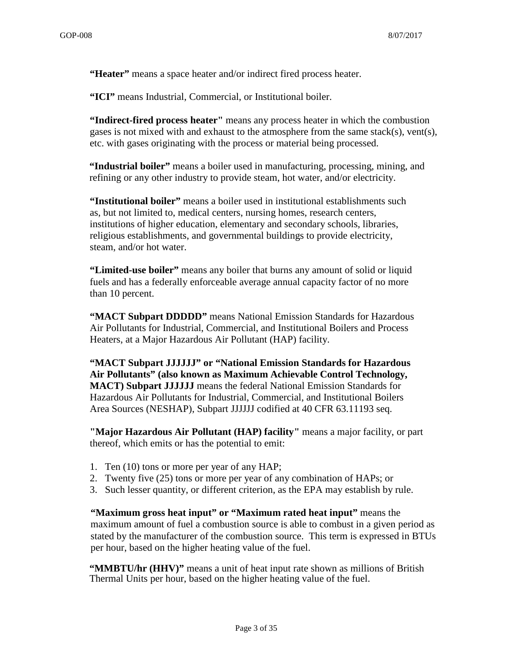**"Heater"** means a space heater and/or indirect fired process heater.

**"ICI"** means Industrial, Commercial, or Institutional boiler.

**"Indirect-fired process heater"** means any process heater in which the combustion gases is not mixed with and exhaust to the atmosphere from the same stack(s), vent(s), etc. with gases originating with the process or material being processed.

**"Industrial boiler"** means a boiler used in manufacturing, processing, mining, and refining or any other industry to provide steam, hot water, and/or electricity.

**"Institutional boiler"** means a boiler used in institutional establishments such as, but not limited to, medical centers, nursing homes, research centers, institutions of higher education, elementary and secondary schools, libraries, religious establishments, and governmental buildings to provide electricity, steam, and/or hot water.

**"Limited-use boiler"** means any boiler that burns any amount of solid or liquid fuels and has a federally enforceable average annual capacity factor of no more than 10 percent.

**"MACT Subpart DDDDD"** means National Emission Standards for Hazardous Air Pollutants for Industrial, Commercial, and Institutional Boilers and Process Heaters, at a Major Hazardous Air Pollutant (HAP) facility.

**"MACT Subpart JJJJJJ" or "National Emission Standards for Hazardous Air Pollutants" (also known as Maximum Achievable Control Technology, MACT) Subpart JJJJJJ** means the federal National Emission Standards for Hazardous Air Pollutants for Industrial, Commercial, and Institutional Boilers Area Sources (NESHAP), Subpart JJJJJJ codified at 40 CFR 63.11193 seq.

**"Major Hazardous Air Pollutant (HAP) facility"** means a major facility, or part thereof, which emits or has the potential to emit:

- 1. Ten (10) tons or more per year of any HAP;
- 2. Twenty five (25) tons or more per year of any combination of HAPs; or
- 3. Such lesser quantity, or different criterion, as the EPA may establish by rule.

**"Maximum gross heat input" or "Maximum rated heat input"** means the maximum amount of fuel a combustion source is able to combust in a given period as stated by the manufacturer of the combustion source. This term is expressed in BTUs per hour, based on the higher heating value of the fuel.

**"MMBTU/hr (HHV)"** means a unit of heat input rate shown as millions of British Thermal Units per hour, based on the higher heating value of the fuel.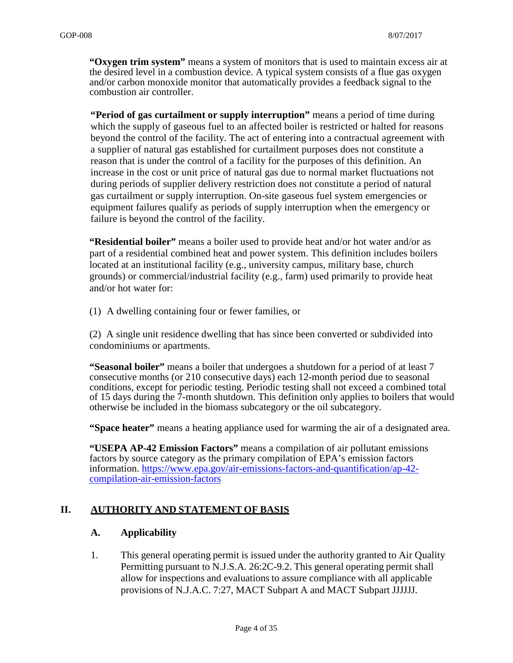**"Oxygen trim system"** means a system of monitors that is used to maintain excess air at the desired level in a combustion device. A typical system consists of a flue gas oxygen and/or carbon monoxide monitor that automatically provides a feedback signal to the combustion air controller.

**"Period of gas curtailment or supply interruption"** means a period of time during which the supply of gaseous fuel to an affected boiler is restricted or halted for reasons beyond the control of the facility. The act of entering into a contractual agreement with a supplier of natural gas established for curtailment purposes does not constitute a reason that is under the control of a facility for the purposes of this definition. An increase in the cost or unit price of natural gas due to normal market fluctuations not during periods of supplier delivery restriction does not constitute a period of natural gas curtailment or supply interruption. On-site gaseous fuel system emergencies or equipment failures qualify as periods of supply interruption when the emergency or failure is beyond the control of the facility.

**"Residential boiler"** means a boiler used to provide heat and/or hot water and/or as part of a residential combined heat and power system. This definition includes boilers located at an institutional facility (e.g., university campus, military base, church grounds) or commercial/industrial facility (e.g., farm) used primarily to provide heat and/or hot water for:

(1) A dwelling containing four or fewer families, or

(2) A single unit residence dwelling that has since been converted or subdivided into condominiums or apartments.

**"Seasonal boiler"** means a boiler that undergoes a shutdown for a period of at least 7 consecutive months (or 210 consecutive days) each 12-month period due to seasonal conditions, except for periodic testing. Periodic testing shall not exceed a combined total of 15 days during the 7-month shutdown. This definition only applies to boilers that would otherwise be included in the biomass subcategory or the oil subcategory.

**"Space heater"** means a heating appliance used for warming the air of a designated area.

**"USEPA AP-42 Emission Factors"** means a compilation of air pollutant emissions factors by source category as the primary compilation of EPA's emission factors information. https://www.epa.gov/air-emissions-factors-and-quantification/ap-42 compilation-air-emission-factors

#### **II. AUTHORITY AND STATEMENT OF BASIS**

#### **A. Applicability**

1. This general operating permit is issued under the authority granted to Air Quality Permitting pursuant to N.J.S.A. 26:2C-9.2. This general operating permit shall allow for inspections and evaluations to assure compliance with all applicable provisions of N.J.A.C. 7:27, MACT Subpart A and MACT Subpart JJJJJJ.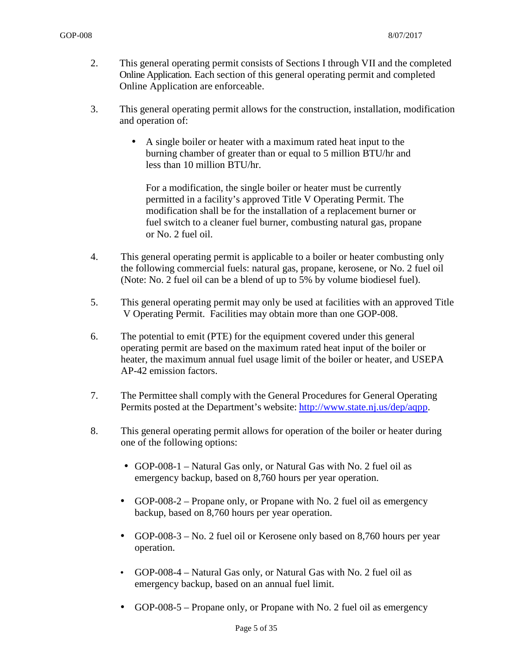- 2. This general operating permit consists of Sections I through VII and the completed Online Application. Each section of this general operating permit and completed Online Application are enforceable.
- 3. This general operating permit allows for the construction, installation, modification and operation of:
	- A single boiler or heater with a maximum rated heat input to the burning chamber of greater than or equal to 5 million BTU/hr and less than 10 million BTU/hr.

For a modification, the single boiler or heater must be currently permitted in a facility's approved Title V Operating Permit. The modification shall be for the installation of a replacement burner or fuel switch to a cleaner fuel burner, combusting natural gas, propane or No. 2 fuel oil.

- 4. This general operating permit is applicable to a boiler or heater combusting only the following commercial fuels: natural gas, propane, kerosene, or No. 2 fuel oil (Note: No. 2 fuel oil can be a blend of up to 5% by volume biodiesel fuel).
- 5. This general operating permit may only be used at facilities with an approved Title V Operating Permit. Facilities may obtain more than one GOP-008.
- 6. The potential to emit (PTE) for the equipment covered under this general operating permit are based on the maximum rated heat input of the boiler or heater, the maximum annual fuel usage limit of the boiler or heater, and USEPA AP-42 emission factors.
- 7. The Permittee shall comply with the General Procedures for General Operating Permits posted at the Department's website: http://www.state.nj.us/dep/aqpp.
- 8. This general operating permit allows for operation of the boiler or heater during one of the following options:
	- GOP-008-1 Natural Gas only, or Natural Gas with No. 2 fuel oil as emergency backup, based on 8,760 hours per year operation.
	- GOP-008-2 Propane only, or Propane with No. 2 fuel oil as emergency backup, based on 8,760 hours per year operation.
	- GOP-008-3 No. 2 fuel oil or Kerosene only based on 8,760 hours per year operation.
	- GOP-008-4 Natural Gas only, or Natural Gas with No. 2 fuel oil as emergency backup, based on an annual fuel limit.
	- GOP-008-5 Propane only, or Propane with No. 2 fuel oil as emergency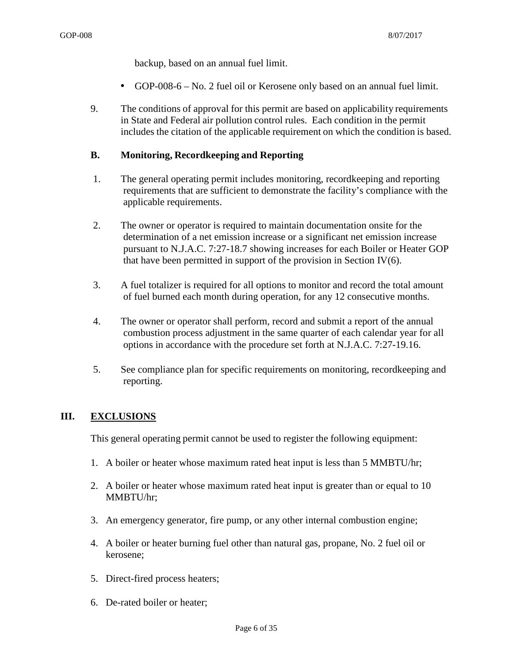backup, based on an annual fuel limit.

- GOP-008-6 No. 2 fuel oil or Kerosene only based on an annual fuel limit.
- 9. The conditions of approval for this permit are based on applicability requirements in State and Federal air pollution control rules. Each condition in the permit includes the citation of the applicable requirement on which the condition is based.

#### **B. Monitoring, Recordkeeping and Reporting**

- 1. The general operating permit includes monitoring, recordkeeping and reporting requirements that are sufficient to demonstrate the facility's compliance with the applicable requirements.
- 2. The owner or operator is required to maintain documentation onsite for the determination of a net emission increase or a significant net emission increase pursuant to N.J.A.C. 7:27-18.7 showing increases for each Boiler or Heater GOP that have been permitted in support of the provision in Section IV $(6)$ .
- 3. A fuel totalizer is required for all options to monitor and record the total amount of fuel burned each month during operation, for any 12 consecutive months.
- 4. The owner or operator shall perform, record and submit a report of the annual combustion process adjustment in the same quarter of each calendar year for all options in accordance with the procedure set forth at N.J.A.C. 7:27-19.16.
- 5. See compliance plan for specific requirements on monitoring, recordkeeping and reporting.

#### **III. EXCLUSIONS**

This general operating permit cannot be used to register the following equipment:

- 1. A boiler or heater whose maximum rated heat input is less than 5 MMBTU/hr;
- 2. A boiler or heater whose maximum rated heat input is greater than or equal to 10 MMBTU/hr;
- 3. An emergency generator, fire pump, or any other internal combustion engine;
- 4. A boiler or heater burning fuel other than natural gas, propane, No. 2 fuel oil or kerosene;
- 5. Direct-fired process heaters;
- 6. De-rated boiler or heater;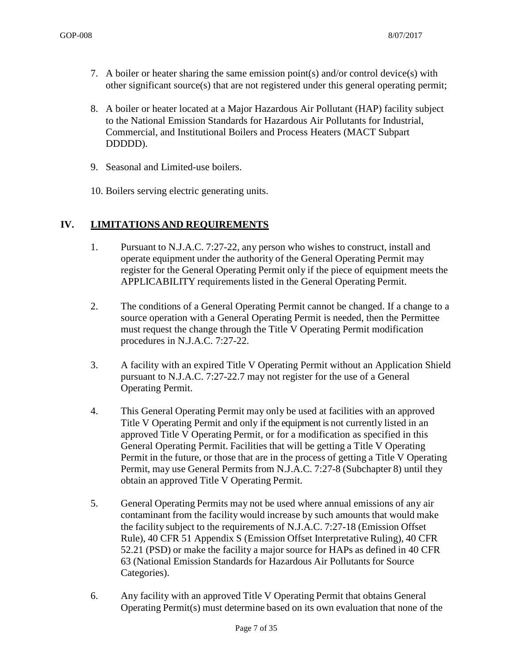- 7. A boiler or heater sharing the same emission point(s) and/or control device(s) with other significant source(s) that are not registered under this general operating permit;
- 8. A boiler or heater located at a Major Hazardous Air Pollutant (HAP) facility subject to the National Emission Standards for Hazardous Air Pollutants for Industrial, Commercial, and Institutional Boilers and Process Heaters (MACT Subpart DDDDD).
- 9. Seasonal and Limited-use boilers.
- 10. Boilers serving electric generating units.

#### **IV. LIMITATIONS AND REQUIREMENTS**

- 1. Pursuant to N.J.A.C. 7:27-22, any person who wishes to construct, install and operate equipment under the authority of the General Operating Permit may register for the General Operating Permit only if the piece of equipment meets the APPLICABILITY requirements listed in the General Operating Permit.
- 2. The conditions of a General Operating Permit cannot be changed. If a change to a source operation with a General Operating Permit is needed, then the Permittee must request the change through the Title V Operating Permit modification procedures in N.J.A.C. 7:27-22.
- 3. A facility with an expired Title V Operating Permit without an Application Shield pursuant to N.J.A.C. 7:27-22.7 may not register for the use of a General Operating Permit.
- 4. This General Operating Permit may only be used at facilities with an approved Title V Operating Permit and only if the equipment is not currently listed in an approved Title V Operating Permit, or for a modification as specified in this General Operating Permit. Facilities that will be getting a Title V Operating Permit in the future, or those that are in the process of getting a Title V Operating Permit, may use General Permits from N.J.A.C. 7:27-8 (Subchapter 8) until they obtain an approved Title V Operating Permit.
- 5. General Operating Permits may not be used where annual emissions of any air contaminant from the facility would increase by such amounts that would make the facility subject to the requirements of N.J.A.C. 7:27-18 (Emission Offset Rule), 40 CFR 51 Appendix S (Emission Offset Interpretative Ruling), 40 CFR 52.21 (PSD) or make the facility a major source for HAPs as defined in 40 CFR 63 (National Emission Standards for Hazardous Air Pollutants for Source Categories).
- 6. Any facility with an approved Title V Operating Permit that obtains General Operating Permit(s) must determine based on its own evaluation that none of the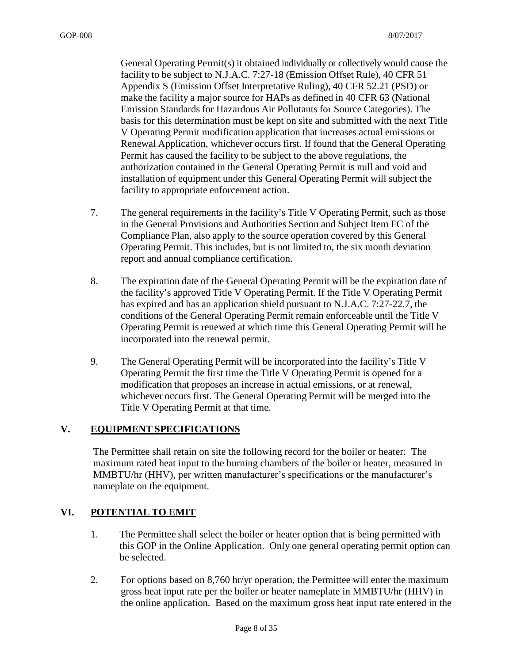General Operating Permit(s) it obtained individually or collectively would cause the facility to be subject to N.J.A.C. 7:27-18 (Emission Offset Rule), 40 CFR 51 Appendix S (Emission Offset Interpretative Ruling), 40 CFR 52.21 (PSD) or make the facility a major source for HAPs as defined in 40 CFR 63 (National Emission Standards for Hazardous Air Pollutants for Source Categories). The basis for this determination must be kept on site and submitted with the next Title V Operating Permit modification application that increases actual emissions or Renewal Application, whichever occurs first. If found that the General Operating Permit has caused the facility to be subject to the above regulations, the authorization contained in the General Operating Permit is null and void and installation of equipment under this General Operating Permit will subject the facility to appropriate enforcement action.

- 7. The general requirements in the facility's Title V Operating Permit, such as those in the General Provisions and Authorities Section and Subject Item FC of the Compliance Plan, also apply to the source operation covered by this General Operating Permit. This includes, but is not limited to, the six month deviation report and annual compliance certification.
- 8. The expiration date of the General Operating Permit will be the expiration date of the facility's approved Title V Operating Permit. If the Title V Operating Permit has expired and has an application shield pursuant to N.J.A.C. 7:27-22.7, the conditions of the General Operating Permit remain enforceable until the Title V Operating Permit is renewed at which time this General Operating Permit will be incorporated into the renewal permit.
- 9. The General Operating Permit will be incorporated into the facility's Title V Operating Permit the first time the Title V Operating Permit is opened for a modification that proposes an increase in actual emissions, or at renewal, whichever occurs first. The General Operating Permit will be merged into the Title V Operating Permit at that time.

#### **V. EQUIPMENT SPECIFICATIONS**

The Permittee shall retain on site the following record for the boiler or heater: The maximum rated heat input to the burning chambers of the boiler or heater, measured in MMBTU/hr (HHV), per written manufacturer's specifications or the manufacturer's nameplate on the equipment.

#### **VI. POTENTIAL TO EMIT**

- 1. The Permittee shall select the boiler or heater option that is being permitted with this GOP in the Online Application. Only one general operating permit option can be selected.
- 2. For options based on 8,760 hr/yr operation, the Permittee will enter the maximum gross heat input rate per the boiler or heater nameplate in MMBTU/hr (HHV) in the online application. Based on the maximum gross heat input rate entered in the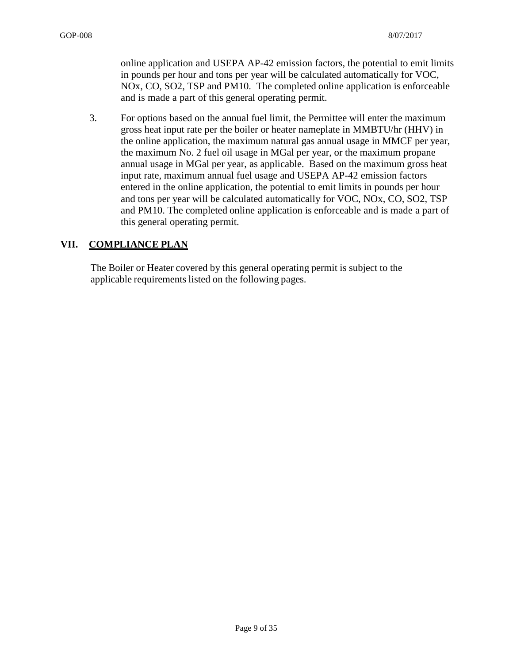online application and USEPA AP-42 emission factors, the potential to emit limits in pounds per hour and tons per year will be calculated automatically for VOC, NOx, CO, SO2, TSP and PM10. The completed online application is enforceable and is made a part of this general operating permit.

3. For options based on the annual fuel limit, the Permittee will enter the maximum gross heat input rate per the boiler or heater nameplate in MMBTU/hr (HHV) in the online application, the maximum natural gas annual usage in MMCF per year, the maximum No. 2 fuel oil usage in MGal per year, or the maximum propane annual usage in MGal per year, as applicable. Based on the maximum gross heat input rate, maximum annual fuel usage and USEPA AP-42 emission factors entered in the online application, the potential to emit limits in pounds per hour and tons per year will be calculated automatically for VOC, NOx, CO, SO2, TSP and PM10. The completed online application is enforceable and is made a part of this general operating permit.

#### **VII. COMPLIANCE PLAN**

The Boiler or Heater covered by this general operating permit is subject to the applicable requirements listed on the following pages.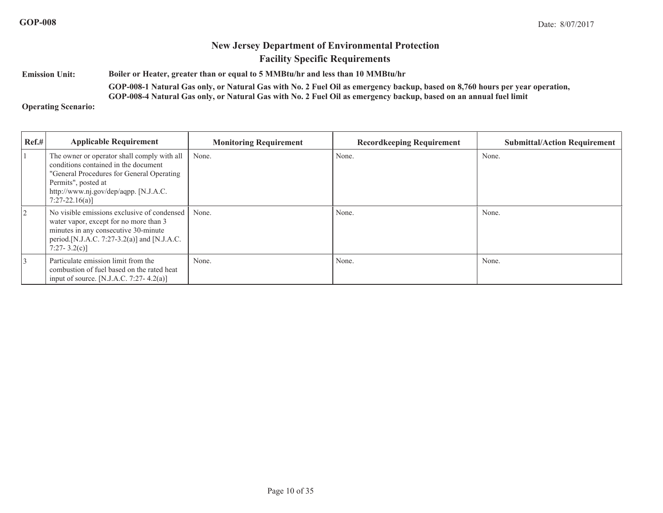**Emission Unit: Boiler or Heater, greater than or equal to 5 MMBtu/hr and less than 10 MMBtu/hrGOP-008-1 Natural Gas only, or Natural Gas with No. 2 Fuel Oil as emergency backup, based on 8,760 hours per year operation,** 

**GOP-008-4 Natural Gas only, or Natural Gas with No. 2 Fuel Oil as emergency backup, based on an annual fuel limit**

**Operating Scenario:**

| Ref.#          | <b>Applicable Requirement</b>                                                                                                                                                                                         | <b>Monitoring Requirement</b> | <b>Recordkeeping Requirement</b> | <b>Submittal/Action Requirement</b> |
|----------------|-----------------------------------------------------------------------------------------------------------------------------------------------------------------------------------------------------------------------|-------------------------------|----------------------------------|-------------------------------------|
|                | The owner or operator shall comply with all<br>conditions contained in the document<br>"General Procedures for General Operating<br>Permits", posted at<br>http://www.nj.gov/dep/aqpp. [N.J.A.C.<br>$7:27-22.16(a)$ ] | None.                         | None.                            | None.                               |
| $\overline{2}$ | No visible emissions exclusive of condensed<br>water vapor, except for no more than 3<br>minutes in any consecutive 30-minute<br>period.[N.J.A.C. 7:27-3.2(a)] and [N.J.A.C.<br>$7:27 - 3.2(c)$                       | None.                         | None.                            | None.                               |
| 3              | Particulate emission limit from the<br>combustion of fuel based on the rated heat<br>input of source. [N.J.A.C. 7:27-4.2(a)]                                                                                          | None.                         | None.                            | None.                               |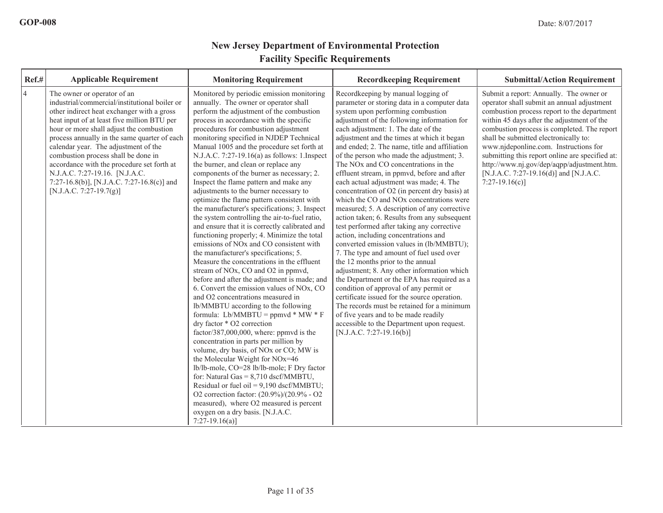| Ref.#          | <b>Applicable Requirement</b>                                                                                                                                                                                                                                                                                                                                                                                                                                                                                 | <b>Monitoring Requirement</b>                                                                                                                                                                                                                                                                                                                                                                                                                                                                                                                                                                                                                                                                                                                                                                                                                                                                                                                                                                                                                                                                                                                                                                                                                                                                                                                                                                                                                                                                                                                                                                                                                                                                                    | <b>Recordkeeping Requirement</b>                                                                                                                                                                                                                                                                                                                                                                                                                                                                                                                                                                                                                                                                                                                                                                                                                                                                                                                                                                                                                                                                                                                                                                                                                                                           | <b>Submittal/Action Requirement</b>                                                                                                                                                                                                                                                                                                                                                                                                                                               |
|----------------|---------------------------------------------------------------------------------------------------------------------------------------------------------------------------------------------------------------------------------------------------------------------------------------------------------------------------------------------------------------------------------------------------------------------------------------------------------------------------------------------------------------|------------------------------------------------------------------------------------------------------------------------------------------------------------------------------------------------------------------------------------------------------------------------------------------------------------------------------------------------------------------------------------------------------------------------------------------------------------------------------------------------------------------------------------------------------------------------------------------------------------------------------------------------------------------------------------------------------------------------------------------------------------------------------------------------------------------------------------------------------------------------------------------------------------------------------------------------------------------------------------------------------------------------------------------------------------------------------------------------------------------------------------------------------------------------------------------------------------------------------------------------------------------------------------------------------------------------------------------------------------------------------------------------------------------------------------------------------------------------------------------------------------------------------------------------------------------------------------------------------------------------------------------------------------------------------------------------------------------|--------------------------------------------------------------------------------------------------------------------------------------------------------------------------------------------------------------------------------------------------------------------------------------------------------------------------------------------------------------------------------------------------------------------------------------------------------------------------------------------------------------------------------------------------------------------------------------------------------------------------------------------------------------------------------------------------------------------------------------------------------------------------------------------------------------------------------------------------------------------------------------------------------------------------------------------------------------------------------------------------------------------------------------------------------------------------------------------------------------------------------------------------------------------------------------------------------------------------------------------------------------------------------------------|-----------------------------------------------------------------------------------------------------------------------------------------------------------------------------------------------------------------------------------------------------------------------------------------------------------------------------------------------------------------------------------------------------------------------------------------------------------------------------------|
| $\overline{4}$ | The owner or operator of an<br>industrial/commercial/institutional boiler or<br>other indirect heat exchanger with a gross<br>heat input of at least five million BTU per<br>hour or more shall adjust the combustion<br>process annually in the same quarter of each<br>calendar year. The adjustment of the<br>combustion process shall be done in<br>accordance with the procedure set forth at<br>N.J.A.C. 7:27-19.16. [N.J.A.C.<br>7:27-16.8(b)], [N.J.A.C. 7:27-16.8(c)] and<br>[N.J.A.C. 7:27-19.7(g)] | Monitored by periodic emission monitoring<br>annually. The owner or operator shall<br>perform the adjustment of the combustion<br>process in accordance with the specific<br>procedures for combustion adjustment<br>monitoring specified in NJDEP Technical<br>Manual 1005 and the procedure set forth at<br>N.J.A.C. 7:27-19.16(a) as follows: 1.Inspect<br>the burner, and clean or replace any<br>components of the burner as necessary; 2.<br>Inspect the flame pattern and make any<br>adjustments to the burner necessary to<br>optimize the flame pattern consistent with<br>the manufacturer's specifications; 3. Inspect<br>the system controlling the air-to-fuel ratio,<br>and ensure that it is correctly calibrated and<br>functioning properly; 4. Minimize the total<br>emissions of NO <sub>x</sub> and CO consistent with<br>the manufacturer's specifications; 5.<br>Measure the concentrations in the effluent<br>stream of NO <sub>x</sub> , CO and O <sub>2</sub> in ppmvd,<br>before and after the adjustment is made; and<br>6. Convert the emission values of NOx, CO<br>and O2 concentrations measured in<br>lb/MMBTU according to the following<br>formula: Lb/MMBTU = ppmvd * MW * F<br>dry factor * O2 correction<br>factor/387,000,000, where: ppmvd is the<br>concentration in parts per million by<br>volume, dry basis, of NO <sub>x</sub> or CO; MW is<br>the Molecular Weight for NOx=46<br>lb/lb-mole, CO=28 lb/lb-mole; F Dry factor<br>for: Natural Gas = $8,710$ dscf/MMBTU,<br>Residual or fuel oil = $9,190$ dscf/MMBTU;<br>O2 correction factor: (20.9%)/(20.9% - O2<br>measured), where O2 measured is percent<br>oxygen on a dry basis. [N.J.A.C.<br>$7:27-19.16(a)$ | Recordkeeping by manual logging of<br>parameter or storing data in a computer data<br>system upon performing combustion<br>adjustment of the following information for<br>each adjustment: 1. The date of the<br>adjustment and the times at which it began<br>and ended; 2. The name, title and affiliation<br>of the person who made the adjustment; 3.<br>The NO <sub>x</sub> and CO concentrations in the<br>effluent stream, in ppmvd, before and after<br>each actual adjustment was made; 4. The<br>concentration of O2 (in percent dry basis) at<br>which the CO and NO <sub>x</sub> concentrations were<br>measured; 5. A description of any corrective<br>action taken; 6. Results from any subsequent<br>test performed after taking any corrective<br>action, including concentrations and<br>converted emission values in (lb/MMBTU);<br>7. The type and amount of fuel used over<br>the 12 months prior to the annual<br>adjustment; 8. Any other information which<br>the Department or the EPA has required as a<br>condition of approval of any permit or<br>certificate issued for the source operation.<br>The records must be retained for a minimum<br>of five years and to be made readily<br>accessible to the Department upon request.<br>[N.J.A.C. 7:27-19.16(b)] | Submit a report: Annually. The owner or<br>operator shall submit an annual adjustment<br>combustion process report to the department<br>within 45 days after the adjustment of the<br>combustion process is completed. The report<br>shall be submitted electronically to:<br>www.njdeponline.com. Instructions for<br>submitting this report online are specified at:<br>http://www.nj.gov/dep/aqpp/adjustment.htm.<br>[N.J.A.C. 7:27-19.16(d)] and [N.J.A.C.<br>$7:27-19.16(c)$ |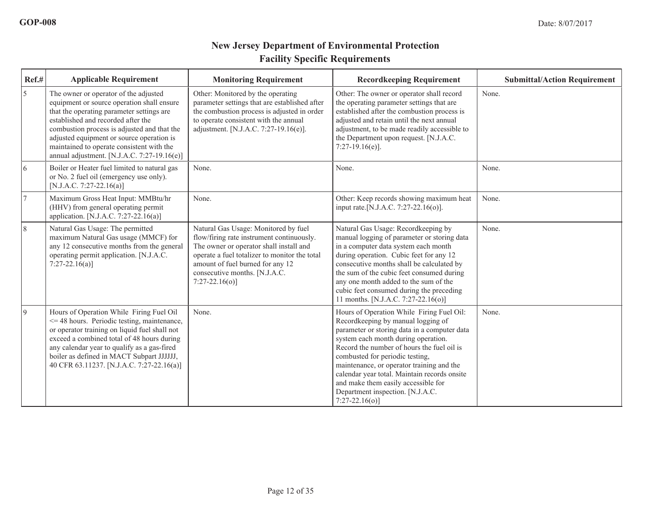| Ref.#          | <b>Applicable Requirement</b>                                                                                                                                                                                                                                                                                                                                      | <b>Monitoring Requirement</b>                                                                                                                                                                                                                                           | <b>Recordkeeping Requirement</b>                                                                                                                                                                                                                                                                                                                                                                                                                     | <b>Submittal/Action Requirement</b> |
|----------------|--------------------------------------------------------------------------------------------------------------------------------------------------------------------------------------------------------------------------------------------------------------------------------------------------------------------------------------------------------------------|-------------------------------------------------------------------------------------------------------------------------------------------------------------------------------------------------------------------------------------------------------------------------|------------------------------------------------------------------------------------------------------------------------------------------------------------------------------------------------------------------------------------------------------------------------------------------------------------------------------------------------------------------------------------------------------------------------------------------------------|-------------------------------------|
| 5              | The owner or operator of the adjusted<br>equipment or source operation shall ensure<br>that the operating parameter settings are<br>established and recorded after the<br>combustion process is adjusted and that the<br>adjusted equipment or source operation is<br>maintained to operate consistent with the<br>annual adjustment. [N.J.A.C. 7:27-19.16 $(e)$ ] | Other: Monitored by the operating<br>parameter settings that are established after<br>the combustion process is adjusted in order<br>to operate consistent with the annual<br>adjustment. [N.J.A.C. 7:27-19.16(e)].                                                     | Other: The owner or operator shall record<br>the operating parameter settings that are<br>established after the combustion process is<br>adjusted and retain until the next annual<br>adjustment, to be made readily accessible to<br>the Department upon request. [N.J.A.C.<br>$7:27-19.16(e)$ ].                                                                                                                                                   | None.                               |
| 6              | Boiler or Heater fuel limited to natural gas<br>or No. 2 fuel oil (emergency use only).<br>[N.J.A.C. 7:27-22.16(a)]                                                                                                                                                                                                                                                | None.                                                                                                                                                                                                                                                                   | None.                                                                                                                                                                                                                                                                                                                                                                                                                                                | None.                               |
| $\overline{7}$ | Maximum Gross Heat Input: MMBtu/hr<br>(HHV) from general operating permit<br>application. [N.J.A.C. 7:27-22.16(a)]                                                                                                                                                                                                                                                 | None.                                                                                                                                                                                                                                                                   | Other: Keep records showing maximum heat<br>input rate. [N.J.A.C. 7:27-22.16(o)].                                                                                                                                                                                                                                                                                                                                                                    | None.                               |
| $\sqrt{8}$     | Natural Gas Usage: The permitted<br>maximum Natural Gas usage (MMCF) for<br>any 12 consecutive months from the general<br>operating permit application. [N.J.A.C.<br>$7:27-22.16(a)$                                                                                                                                                                               | Natural Gas Usage: Monitored by fuel<br>flow/firing rate instrument continuously.<br>The owner or operator shall install and<br>operate a fuel totalizer to monitor the total<br>amount of fuel burned for any 12<br>consecutive months. [N.J.A.C.<br>$7:27-22.16(o)$ ] | Natural Gas Usage: Recordkeeping by<br>manual logging of parameter or storing data<br>in a computer data system each month<br>during operation. Cubic feet for any 12<br>consecutive months shall be calculated by<br>the sum of the cubic feet consumed during<br>any one month added to the sum of the<br>cubic feet consumed during the preceding<br>11 months. [N.J.A.C. 7:27-22.16(o)]                                                          | None.                               |
| $\vert$ 9      | Hours of Operation While Firing Fuel Oil<br>$\leq$ 48 hours. Periodic testing, maintenance,<br>or operator training on liquid fuel shall not<br>exceed a combined total of 48 hours during<br>any calendar year to qualify as a gas-fired<br>boiler as defined in MACT Subpart JJJJJJ,<br>40 CFR 63.11237. [N.J.A.C. 7:27-22.16(a)]                                | None.                                                                                                                                                                                                                                                                   | Hours of Operation While Firing Fuel Oil:<br>Recordkeeping by manual logging of<br>parameter or storing data in a computer data<br>system each month during operation.<br>Record the number of hours the fuel oil is<br>combusted for periodic testing,<br>maintenance, or operator training and the<br>calendar year total. Maintain records onsite<br>and make them easily accessible for<br>Department inspection. [N.J.A.C.<br>$7:27-22.16(o)$ ] | None.                               |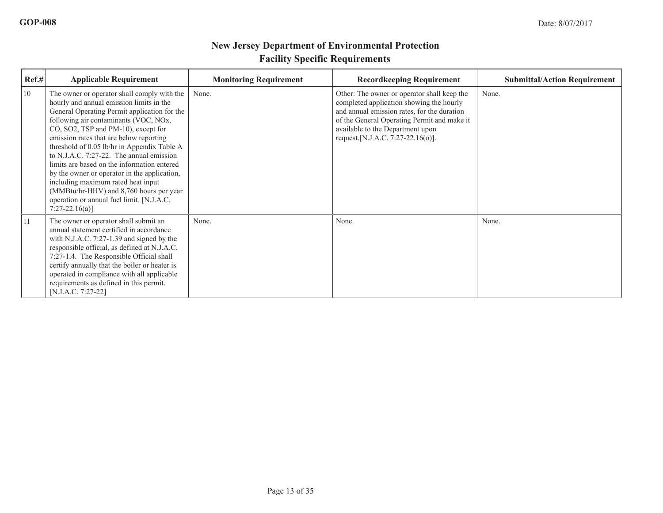| Ref.# | <b>Applicable Requirement</b>                                                                                                                                                                                                                                                                                                                                                                                                                                                                                                                                                                                 | <b>Monitoring Requirement</b> | <b>Recordkeeping Requirement</b>                                                                                                                                                                                                                                | <b>Submittal/Action Requirement</b> |
|-------|---------------------------------------------------------------------------------------------------------------------------------------------------------------------------------------------------------------------------------------------------------------------------------------------------------------------------------------------------------------------------------------------------------------------------------------------------------------------------------------------------------------------------------------------------------------------------------------------------------------|-------------------------------|-----------------------------------------------------------------------------------------------------------------------------------------------------------------------------------------------------------------------------------------------------------------|-------------------------------------|
| 10    | The owner or operator shall comply with the<br>hourly and annual emission limits in the<br>General Operating Permit application for the<br>following air contaminants (VOC, NOx,<br>CO, SO2, TSP and PM-10), except for<br>emission rates that are below reporting<br>threshold of 0.05 lb/hr in Appendix Table A<br>to N.J.A.C. 7:27-22. The annual emission<br>limits are based on the information entered<br>by the owner or operator in the application,<br>including maximum rated heat input<br>(MMBtu/hr-HHV) and 8,760 hours per year<br>operation or annual fuel limit. [N.J.A.C.<br>$7:27-22.16(a)$ | None.                         | Other: The owner or operator shall keep the<br>completed application showing the hourly<br>and annual emission rates, for the duration<br>of the General Operating Permit and make it<br>available to the Department upon<br>request. [N.J.A.C. 7:27-22.16(o)]. | None.                               |
| 11    | The owner or operator shall submit an<br>annual statement certified in accordance<br>with N.J.A.C. 7:27-1.39 and signed by the<br>responsible official, as defined at N.J.A.C.<br>7:27-1.4. The Responsible Official shall<br>certify annually that the boiler or heater is<br>operated in compliance with all applicable<br>requirements as defined in this permit.<br>[N.J.A.C. 7:27-22]                                                                                                                                                                                                                    | None.                         | None.                                                                                                                                                                                                                                                           | None.                               |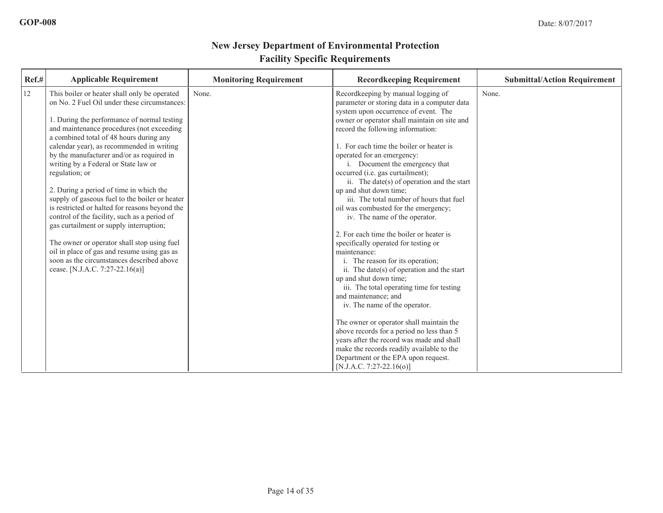| Ref.# | <b>Applicable Requirement</b>                                                                                                             | <b>Monitoring Requirement</b> | <b>Recordkeeping Requirement</b>                                                                                                   | <b>Submittal/Action Requirement</b> |
|-------|-------------------------------------------------------------------------------------------------------------------------------------------|-------------------------------|------------------------------------------------------------------------------------------------------------------------------------|-------------------------------------|
| 12    | This boiler or heater shall only be operated<br>on No. 2 Fuel Oil under these circumstances:                                              | None.                         | Recordkeeping by manual logging of<br>parameter or storing data in a computer data<br>system upon occurrence of event. The         | None.                               |
|       | 1. During the performance of normal testing<br>and maintenance procedures (not exceeding<br>a combined total of 48 hours during any       |                               | owner or operator shall maintain on site and<br>record the following information:                                                  |                                     |
|       | calendar year), as recommended in writing<br>by the manufacturer and/or as required in                                                    |                               | 1. For each time the boiler or heater is<br>operated for an emergency:                                                             |                                     |
|       | writing by a Federal or State law or<br>regulation; or                                                                                    |                               | i. Document the emergency that<br>occurred (i.e. gas curtailment);<br>ii. The date(s) of operation and the start                   |                                     |
|       | 2. During a period of time in which the<br>supply of gaseous fuel to the boiler or heater                                                 |                               | up and shut down time;<br>iii. The total number of hours that fuel                                                                 |                                     |
|       | is restricted or halted for reasons beyond the<br>control of the facility, such as a period of<br>gas curtailment or supply interruption; |                               | oil was combusted for the emergency;<br>iv. The name of the operator.                                                              |                                     |
|       | The owner or operator shall stop using fuel<br>oil in place of gas and resume using gas as                                                |                               | 2. For each time the boiler or heater is<br>specifically operated for testing or<br>maintenance:                                   |                                     |
|       | soon as the circumstances described above<br>cease. [N.J.A.C. 7:27-22.16(a)]                                                              |                               | i. The reason for its operation;<br>ii. The date( $s$ ) of operation and the start                                                 |                                     |
|       |                                                                                                                                           |                               | up and shut down time;<br>iii. The total operating time for testing<br>and maintenance; and                                        |                                     |
|       |                                                                                                                                           |                               | iv. The name of the operator.                                                                                                      |                                     |
|       |                                                                                                                                           |                               | The owner or operator shall maintain the<br>above records for a period no less than 5<br>years after the record was made and shall |                                     |
|       |                                                                                                                                           |                               | make the records readily available to the<br>Department or the EPA upon request.<br>[N.J.A.C. 7:27-22.16(o)]                       |                                     |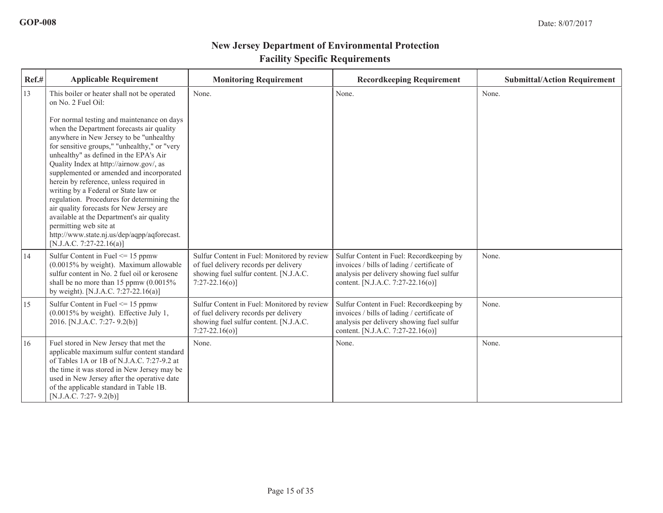| Ref.# | <b>Applicable Requirement</b>                                                                                                                                                                                                                                                                                                                                                                                                                                                                                                                                                                                                                                                                                           | <b>Monitoring Requirement</b>                                                                                                                       | <b>Recordkeeping Requirement</b>                                                                                                                                          | <b>Submittal/Action Requirement</b> |
|-------|-------------------------------------------------------------------------------------------------------------------------------------------------------------------------------------------------------------------------------------------------------------------------------------------------------------------------------------------------------------------------------------------------------------------------------------------------------------------------------------------------------------------------------------------------------------------------------------------------------------------------------------------------------------------------------------------------------------------------|-----------------------------------------------------------------------------------------------------------------------------------------------------|---------------------------------------------------------------------------------------------------------------------------------------------------------------------------|-------------------------------------|
| 13    | This boiler or heater shall not be operated<br>on No. 2 Fuel Oil:<br>For normal testing and maintenance on days<br>when the Department forecasts air quality<br>anywhere in New Jersey to be "unhealthy<br>for sensitive groups," "unhealthy," or "very<br>unhealthy" as defined in the EPA's Air<br>Quality Index at http://airnow.gov/, as<br>supplemented or amended and incorporated<br>herein by reference, unless required in<br>writing by a Federal or State law or<br>regulation. Procedures for determining the<br>air quality forecasts for New Jersey are<br>available at the Department's air quality<br>permitting web site at<br>http://www.state.nj.us/dep/aqpp/aqforecast.<br>[N.J.A.C. 7:27-22.16(a)] | None.                                                                                                                                               | None.                                                                                                                                                                     | None.                               |
| 14    | Sulfur Content in Fuel $\leq$ 15 ppmw<br>(0.0015% by weight). Maximum allowable<br>sulfur content in No. 2 fuel oil or kerosene<br>shall be no more than 15 ppmw $(0.0015\%$<br>by weight). [N.J.A.C. 7:27-22.16(a)]                                                                                                                                                                                                                                                                                                                                                                                                                                                                                                    | Sulfur Content in Fuel: Monitored by review<br>of fuel delivery records per delivery<br>showing fuel sulfur content. [N.J.A.C.<br>$7:27-22.16(o)$ ] | Sulfur Content in Fuel: Recordkeeping by<br>invoices / bills of lading / certificate of<br>analysis per delivery showing fuel sulfur<br>content. [N.J.A.C. 7:27-22.16(o)] | None.                               |
| 15    | Sulfur Content in Fuel $\leq$ 15 ppmw<br>$(0.0015\%$ by weight). Effective July 1,<br>2016. [N.J.A.C. 7:27-9.2(b)]                                                                                                                                                                                                                                                                                                                                                                                                                                                                                                                                                                                                      | Sulfur Content in Fuel: Monitored by review<br>of fuel delivery records per delivery<br>showing fuel sulfur content. [N.J.A.C.<br>$7:27-22.16(o)$ ] | Sulfur Content in Fuel: Recordkeeping by<br>invoices / bills of lading / certificate of<br>analysis per delivery showing fuel sulfur<br>content. [N.J.A.C. 7:27-22.16(o)] | None.                               |
| 16    | Fuel stored in New Jersey that met the<br>applicable maximum sulfur content standard<br>of Tables 1A or 1B of N.J.A.C. 7:27-9.2 at<br>the time it was stored in New Jersey may be<br>used in New Jersey after the operative date<br>of the applicable standard in Table 1B.<br>$[N.J.A.C. 7:27-9.2(b)]$                                                                                                                                                                                                                                                                                                                                                                                                                 | None.                                                                                                                                               | None.                                                                                                                                                                     | None.                               |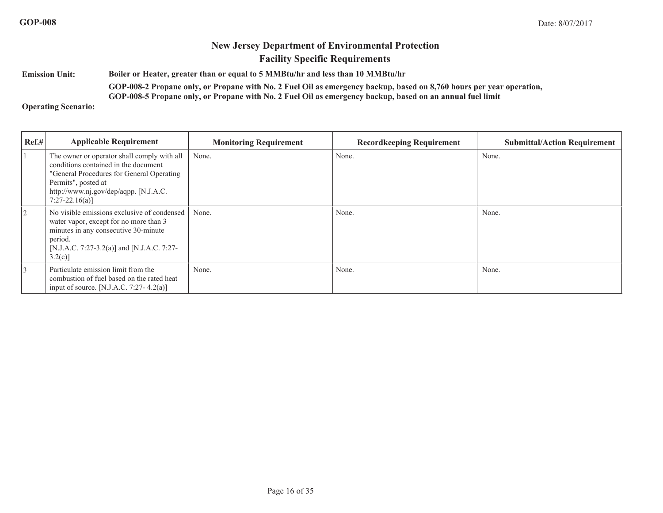**Emission Unit:<sup>B</sup>oiler or Heater, greater than or equal to 5 MMBtu/hr and less than 10 MMBtu/hr**

> **GOP-008-2 Propane only, or Propane with No. 2 Fuel Oil as emergency backup, based on 8,760 hours per year operation, GOP-008-5 Propane only, or Propane with No. 2 Fuel Oil as emergency backup, based on an annual fuel limit**

**Operating Scenario:**

| Ref.#          | <b>Applicable Requirement</b>                                                                                                                                                                                       | <b>Monitoring Requirement</b> | <b>Recordkeeping Requirement</b> | <b>Submittal/Action Requirement</b> |
|----------------|---------------------------------------------------------------------------------------------------------------------------------------------------------------------------------------------------------------------|-------------------------------|----------------------------------|-------------------------------------|
|                | The owner or operator shall comply with all<br>conditions contained in the document<br>"General Procedures for General Operating<br>Permits", posted at<br>http://www.nj.gov/dep/aqpp. [N.J.A.C.<br>$7:27-22.16(a)$ | None.                         | None.                            | None.                               |
| $\overline{2}$ | No visible emissions exclusive of condensed<br>water vapor, except for no more than 3<br>minutes in any consecutive 30-minute<br>period.<br>[N.J.A.C. 7:27-3.2(a)] and [N.J.A.C. 7:27-<br>3.2(c)                    | None.                         | None.                            | None.                               |
|                | Particulate emission limit from the<br>combustion of fuel based on the rated heat<br>input of source. [N.J.A.C. 7:27-4.2(a)]                                                                                        | None.                         | None.                            | None.                               |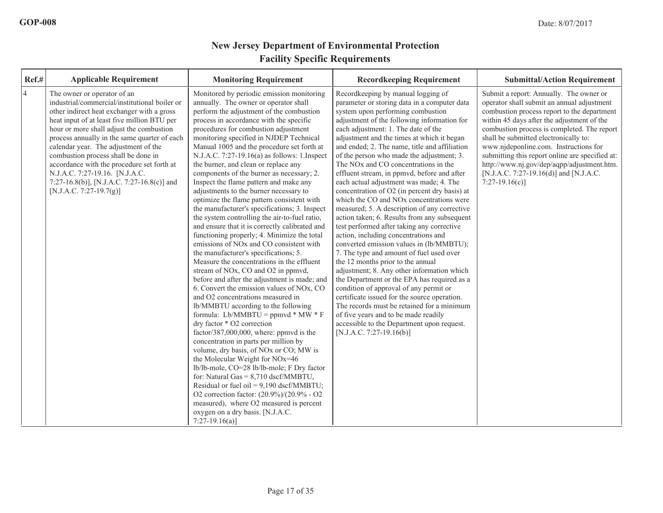| Ref.#          | <b>Applicable Requirement</b>                                                                                                                                                                                                                                                                                                                                                                                                                                                                                 | <b>Monitoring Requirement</b>                                                                                                                                                                                                                                                                                                                                                                                                                                                                                                                                                                                                                                                                                                                                                                                                                                                                                                                                                                                                                                                                                                                                                                                                                                                                                                                                                                                                                                                                                                                                                                                                                                                                                    | <b>Recordkeeping Requirement</b>                                                                                                                                                                                                                                                                                                                                                                                                                                                                                                                                                                                                                                                                                                                                                                                                                                                                                                                                                                                                                                                                                                                                                                                                                                                           | <b>Submittal/Action Requirement</b>                                                                                                                                                                                                                                                                                                                                                                                                                                               |
|----------------|---------------------------------------------------------------------------------------------------------------------------------------------------------------------------------------------------------------------------------------------------------------------------------------------------------------------------------------------------------------------------------------------------------------------------------------------------------------------------------------------------------------|------------------------------------------------------------------------------------------------------------------------------------------------------------------------------------------------------------------------------------------------------------------------------------------------------------------------------------------------------------------------------------------------------------------------------------------------------------------------------------------------------------------------------------------------------------------------------------------------------------------------------------------------------------------------------------------------------------------------------------------------------------------------------------------------------------------------------------------------------------------------------------------------------------------------------------------------------------------------------------------------------------------------------------------------------------------------------------------------------------------------------------------------------------------------------------------------------------------------------------------------------------------------------------------------------------------------------------------------------------------------------------------------------------------------------------------------------------------------------------------------------------------------------------------------------------------------------------------------------------------------------------------------------------------------------------------------------------------|--------------------------------------------------------------------------------------------------------------------------------------------------------------------------------------------------------------------------------------------------------------------------------------------------------------------------------------------------------------------------------------------------------------------------------------------------------------------------------------------------------------------------------------------------------------------------------------------------------------------------------------------------------------------------------------------------------------------------------------------------------------------------------------------------------------------------------------------------------------------------------------------------------------------------------------------------------------------------------------------------------------------------------------------------------------------------------------------------------------------------------------------------------------------------------------------------------------------------------------------------------------------------------------------|-----------------------------------------------------------------------------------------------------------------------------------------------------------------------------------------------------------------------------------------------------------------------------------------------------------------------------------------------------------------------------------------------------------------------------------------------------------------------------------|
| $\overline{4}$ | The owner or operator of an<br>industrial/commercial/institutional boiler or<br>other indirect heat exchanger with a gross<br>heat input of at least five million BTU per<br>hour or more shall adjust the combustion<br>process annually in the same quarter of each<br>calendar year. The adjustment of the<br>combustion process shall be done in<br>accordance with the procedure set forth at<br>N.J.A.C. 7:27-19.16. [N.J.A.C.<br>7:27-16.8(b)], [N.J.A.C. 7:27-16.8(c)] and<br>[N.J.A.C. 7:27-19.7(g)] | Monitored by periodic emission monitoring<br>annually. The owner or operator shall<br>perform the adjustment of the combustion<br>process in accordance with the specific<br>procedures for combustion adjustment<br>monitoring specified in NJDEP Technical<br>Manual 1005 and the procedure set forth at<br>N.J.A.C. 7:27-19.16(a) as follows: 1.Inspect<br>the burner, and clean or replace any<br>components of the burner as necessary; 2.<br>Inspect the flame pattern and make any<br>adjustments to the burner necessary to<br>optimize the flame pattern consistent with<br>the manufacturer's specifications; 3. Inspect<br>the system controlling the air-to-fuel ratio,<br>and ensure that it is correctly calibrated and<br>functioning properly; 4. Minimize the total<br>emissions of NO <sub>x</sub> and CO consistent with<br>the manufacturer's specifications; 5.<br>Measure the concentrations in the effluent<br>stream of NO <sub>x</sub> , CO and O <sub>2</sub> in ppmvd,<br>before and after the adjustment is made; and<br>6. Convert the emission values of NOx, CO<br>and O2 concentrations measured in<br>lb/MMBTU according to the following<br>formula: Lb/MMBTU = ppmvd * MW * F<br>dry factor * O2 correction<br>factor/387,000,000, where: ppmvd is the<br>concentration in parts per million by<br>volume, dry basis, of NO <sub>x</sub> or CO; MW is<br>the Molecular Weight for NOx=46<br>lb/lb-mole, CO=28 lb/lb-mole; F Dry factor<br>for: Natural Gas = $8,710$ dscf/MMBTU,<br>Residual or fuel oil = $9,190$ dscf/MMBTU;<br>O2 correction factor: (20.9%)/(20.9% - O2<br>measured), where O2 measured is percent<br>oxygen on a dry basis. [N.J.A.C.<br>$7:27-19.16(a)$ | Recordkeeping by manual logging of<br>parameter or storing data in a computer data<br>system upon performing combustion<br>adjustment of the following information for<br>each adjustment: 1. The date of the<br>adjustment and the times at which it began<br>and ended; 2. The name, title and affiliation<br>of the person who made the adjustment; 3.<br>The NO <sub>x</sub> and CO concentrations in the<br>effluent stream, in ppmvd, before and after<br>each actual adjustment was made; 4. The<br>concentration of O2 (in percent dry basis) at<br>which the CO and NO <sub>x</sub> concentrations were<br>measured; 5. A description of any corrective<br>action taken; 6. Results from any subsequent<br>test performed after taking any corrective<br>action, including concentrations and<br>converted emission values in (lb/MMBTU);<br>7. The type and amount of fuel used over<br>the 12 months prior to the annual<br>adjustment; 8. Any other information which<br>the Department or the EPA has required as a<br>condition of approval of any permit or<br>certificate issued for the source operation.<br>The records must be retained for a minimum<br>of five years and to be made readily<br>accessible to the Department upon request.<br>[N.J.A.C. 7:27-19.16(b)] | Submit a report: Annually. The owner or<br>operator shall submit an annual adjustment<br>combustion process report to the department<br>within 45 days after the adjustment of the<br>combustion process is completed. The report<br>shall be submitted electronically to:<br>www.njdeponline.com. Instructions for<br>submitting this report online are specified at:<br>http://www.nj.gov/dep/aqpp/adjustment.htm.<br>[N.J.A.C. 7:27-19.16(d)] and [N.J.A.C.<br>$7:27-19.16(c)$ |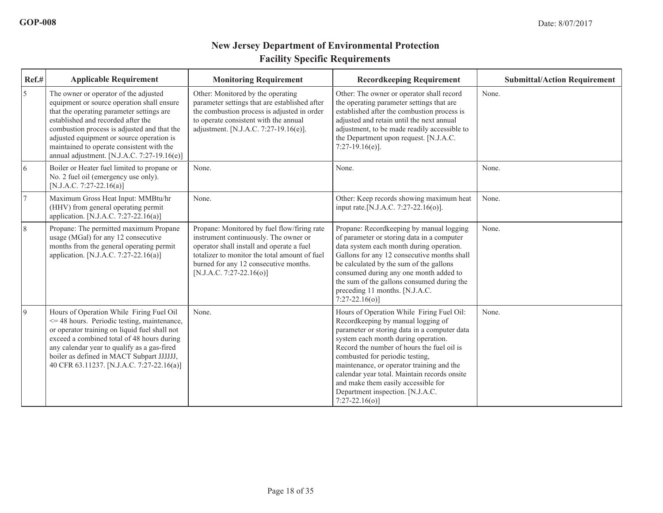| $Ref.$ #       | <b>Applicable Requirement</b>                                                                                                                                                                                                                                                                                                                                      | <b>Monitoring Requirement</b>                                                                                                                                                                                                                             | <b>Recordkeeping Requirement</b>                                                                                                                                                                                                                                                                                                                                                                                                                     | <b>Submittal/Action Requirement</b> |
|----------------|--------------------------------------------------------------------------------------------------------------------------------------------------------------------------------------------------------------------------------------------------------------------------------------------------------------------------------------------------------------------|-----------------------------------------------------------------------------------------------------------------------------------------------------------------------------------------------------------------------------------------------------------|------------------------------------------------------------------------------------------------------------------------------------------------------------------------------------------------------------------------------------------------------------------------------------------------------------------------------------------------------------------------------------------------------------------------------------------------------|-------------------------------------|
| 5              | The owner or operator of the adjusted<br>equipment or source operation shall ensure<br>that the operating parameter settings are<br>established and recorded after the<br>combustion process is adjusted and that the<br>adjusted equipment or source operation is<br>maintained to operate consistent with the<br>annual adjustment. [N.J.A.C. 7:27-19.16 $(e)$ ] | Other: Monitored by the operating<br>parameter settings that are established after<br>the combustion process is adjusted in order<br>to operate consistent with the annual<br>adjustment. [N.J.A.C. 7:27-19.16(e)].                                       | Other: The owner or operator shall record<br>the operating parameter settings that are<br>established after the combustion process is<br>adjusted and retain until the next annual<br>adjustment, to be made readily accessible to<br>the Department upon request. [N.J.A.C.<br>$7:27-19.16(e)$ ].                                                                                                                                                   | None.                               |
| 6              | Boiler or Heater fuel limited to propane or<br>No. 2 fuel oil (emergency use only).<br>[N.J.A.C. 7:27-22.16(a)]                                                                                                                                                                                                                                                    | None.                                                                                                                                                                                                                                                     | None.                                                                                                                                                                                                                                                                                                                                                                                                                                                | None.                               |
| $\overline{7}$ | Maximum Gross Heat Input: MMBtu/hr<br>(HHV) from general operating permit<br>application. [N.J.A.C. 7:27-22.16(a)]                                                                                                                                                                                                                                                 | None.                                                                                                                                                                                                                                                     | Other: Keep records showing maximum heat<br>input rate. [N.J.A.C. 7:27-22.16(o)].                                                                                                                                                                                                                                                                                                                                                                    | None.                               |
| 8              | Propane: The permitted maximum Propane<br>usage (MGal) for any 12 consecutive<br>months from the general operating permit<br>application. [N.J.A.C. 7:27-22.16(a)]                                                                                                                                                                                                 | Propane: Monitored by fuel flow/firing rate<br>instrument continuously. The owner or<br>operator shall install and operate a fuel<br>totalizer to monitor the total amount of fuel<br>burned for any 12 consecutive months.<br>$[N.J.A.C. 7:27-22.16(o)]$ | Propane: Recordkeeping by manual logging<br>of parameter or storing data in a computer<br>data system each month during operation.<br>Gallons for any 12 consecutive months shall<br>be calculated by the sum of the gallons<br>consumed during any one month added to<br>the sum of the gallons consumed during the<br>preceding 11 months. [N.J.A.C.<br>$7:27-22.16(o)$ ]                                                                          | None.                               |
| $\overline{9}$ | Hours of Operation While Firing Fuel Oil<br>$\leq$ 48 hours. Periodic testing, maintenance,<br>or operator training on liquid fuel shall not<br>exceed a combined total of 48 hours during<br>any calendar year to qualify as a gas-fired<br>boiler as defined in MACT Subpart JJJJJJ,<br>40 CFR 63.11237. [N.J.A.C. 7:27-22.16(a)]                                | None.                                                                                                                                                                                                                                                     | Hours of Operation While Firing Fuel Oil:<br>Recordkeeping by manual logging of<br>parameter or storing data in a computer data<br>system each month during operation.<br>Record the number of hours the fuel oil is<br>combusted for periodic testing,<br>maintenance, or operator training and the<br>calendar year total. Maintain records onsite<br>and make them easily accessible for<br>Department inspection. [N.J.A.C.<br>$7:27-22.16(o)$ ] | None.                               |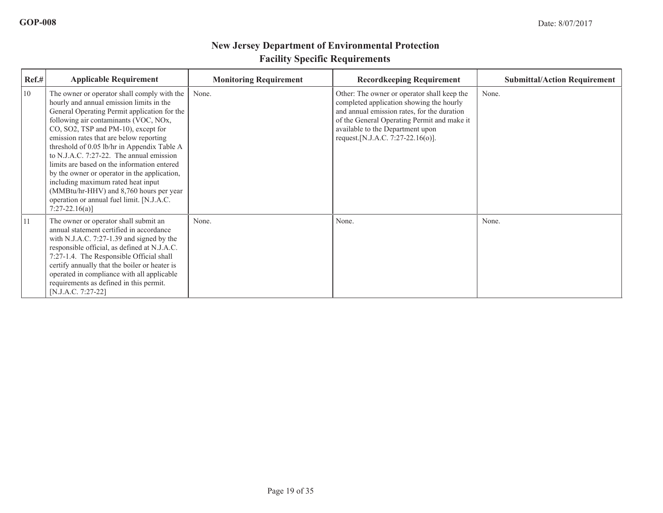| Ref.# | <b>Applicable Requirement</b>                                                                                                                                                                                                                                                                                                                                                                                                                                                                                                                                                                                 | <b>Monitoring Requirement</b> | <b>Recordkeeping Requirement</b>                                                                                                                                                                                                                                | <b>Submittal/Action Requirement</b> |
|-------|---------------------------------------------------------------------------------------------------------------------------------------------------------------------------------------------------------------------------------------------------------------------------------------------------------------------------------------------------------------------------------------------------------------------------------------------------------------------------------------------------------------------------------------------------------------------------------------------------------------|-------------------------------|-----------------------------------------------------------------------------------------------------------------------------------------------------------------------------------------------------------------------------------------------------------------|-------------------------------------|
| 10    | The owner or operator shall comply with the<br>hourly and annual emission limits in the<br>General Operating Permit application for the<br>following air contaminants (VOC, NOx,<br>CO, SO2, TSP and PM-10), except for<br>emission rates that are below reporting<br>threshold of 0.05 lb/hr in Appendix Table A<br>to N.J.A.C. 7:27-22. The annual emission<br>limits are based on the information entered<br>by the owner or operator in the application,<br>including maximum rated heat input<br>(MMBtu/hr-HHV) and 8,760 hours per year<br>operation or annual fuel limit. [N.J.A.C.<br>$7:27-22.16(a)$ | None.                         | Other: The owner or operator shall keep the<br>completed application showing the hourly<br>and annual emission rates, for the duration<br>of the General Operating Permit and make it<br>available to the Department upon<br>request. [N.J.A.C. 7:27-22.16(o)]. | None.                               |
| 11    | The owner or operator shall submit an<br>annual statement certified in accordance<br>with N.J.A.C. 7:27-1.39 and signed by the<br>responsible official, as defined at N.J.A.C.<br>7:27-1.4. The Responsible Official shall<br>certify annually that the boiler or heater is<br>operated in compliance with all applicable<br>requirements as defined in this permit.<br>[N.J.A.C. 7:27-22]                                                                                                                                                                                                                    | None.                         | None.                                                                                                                                                                                                                                                           | None.                               |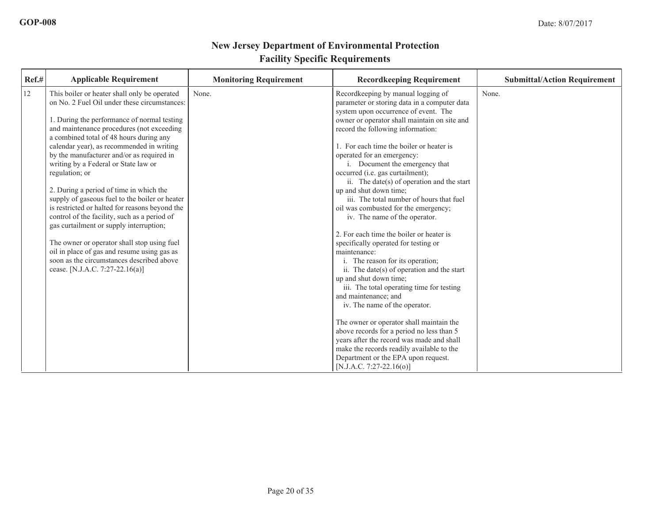| Ref.# | <b>Applicable Requirement</b>                                                                                                             | <b>Monitoring Requirement</b> | <b>Recordkeeping Requirement</b>                                                                                                   | <b>Submittal/Action Requirement</b> |
|-------|-------------------------------------------------------------------------------------------------------------------------------------------|-------------------------------|------------------------------------------------------------------------------------------------------------------------------------|-------------------------------------|
| 12    | This boiler or heater shall only be operated<br>on No. 2 Fuel Oil under these circumstances:                                              | None.                         | Recordkeeping by manual logging of<br>parameter or storing data in a computer data<br>system upon occurrence of event. The         | None.                               |
|       | 1. During the performance of normal testing<br>and maintenance procedures (not exceeding<br>a combined total of 48 hours during any       |                               | owner or operator shall maintain on site and<br>record the following information:                                                  |                                     |
|       | calendar year), as recommended in writing<br>by the manufacturer and/or as required in                                                    |                               | 1. For each time the boiler or heater is<br>operated for an emergency:                                                             |                                     |
|       | writing by a Federal or State law or<br>regulation; or                                                                                    |                               | i. Document the emergency that<br>occurred (i.e. gas curtailment);<br>ii. The date(s) of operation and the start                   |                                     |
|       | 2. During a period of time in which the<br>supply of gaseous fuel to the boiler or heater                                                 |                               | up and shut down time;<br>iii. The total number of hours that fuel                                                                 |                                     |
|       | is restricted or halted for reasons beyond the<br>control of the facility, such as a period of<br>gas curtailment or supply interruption; |                               | oil was combusted for the emergency;<br>iv. The name of the operator.                                                              |                                     |
|       | The owner or operator shall stop using fuel<br>oil in place of gas and resume using gas as                                                |                               | 2. For each time the boiler or heater is<br>specifically operated for testing or<br>maintenance:                                   |                                     |
|       | soon as the circumstances described above<br>cease. [N.J.A.C. 7:27-22.16(a)]                                                              |                               | i. The reason for its operation;<br>ii. The date( $s$ ) of operation and the start                                                 |                                     |
|       |                                                                                                                                           |                               | up and shut down time;<br>iii. The total operating time for testing<br>and maintenance; and                                        |                                     |
|       |                                                                                                                                           |                               | iv. The name of the operator.                                                                                                      |                                     |
|       |                                                                                                                                           |                               | The owner or operator shall maintain the<br>above records for a period no less than 5<br>years after the record was made and shall |                                     |
|       |                                                                                                                                           |                               | make the records readily available to the<br>Department or the EPA upon request.<br>[N.J.A.C. 7:27-22.16(o)]                       |                                     |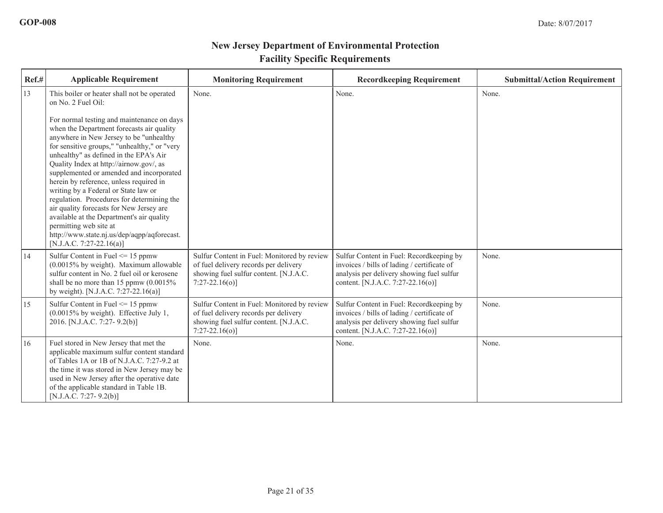| Ref.# | <b>Applicable Requirement</b>                                                                                                                                                                                                                                                                                                                                                                                                                                                                                                                                                                                                                                                                                           | <b>Monitoring Requirement</b>                                                                                                                     | <b>Recordkeeping Requirement</b>                                                                                                                                          | <b>Submittal/Action Requirement</b> |
|-------|-------------------------------------------------------------------------------------------------------------------------------------------------------------------------------------------------------------------------------------------------------------------------------------------------------------------------------------------------------------------------------------------------------------------------------------------------------------------------------------------------------------------------------------------------------------------------------------------------------------------------------------------------------------------------------------------------------------------------|---------------------------------------------------------------------------------------------------------------------------------------------------|---------------------------------------------------------------------------------------------------------------------------------------------------------------------------|-------------------------------------|
| 13    | This boiler or heater shall not be operated<br>on No. 2 Fuel Oil:<br>For normal testing and maintenance on days<br>when the Department forecasts air quality<br>anywhere in New Jersey to be "unhealthy<br>for sensitive groups," "unhealthy," or "very<br>unhealthy" as defined in the EPA's Air<br>Quality Index at http://airnow.gov/, as<br>supplemented or amended and incorporated<br>herein by reference, unless required in<br>writing by a Federal or State law or<br>regulation. Procedures for determining the<br>air quality forecasts for New Jersey are<br>available at the Department's air quality<br>permitting web site at<br>http://www.state.nj.us/dep/aqpp/aqforecast.<br>[N.J.A.C. 7:27-22.16(a)] | None.                                                                                                                                             | None.                                                                                                                                                                     | None.                               |
| 14    | Sulfur Content in Fuel $\leq$ 15 ppmw<br>$(0.0015\%$ by weight). Maximum allowable<br>sulfur content in No. 2 fuel oil or kerosene<br>shall be no more than 15 ppmw $(0.0015\%$<br>by weight). [N.J.A.C. 7:27-22.16(a)]                                                                                                                                                                                                                                                                                                                                                                                                                                                                                                 | Sulfur Content in Fuel: Monitored by review<br>of fuel delivery records per delivery<br>showing fuel sulfur content. [N.J.A.C.<br>$7:27-22.16(0)$ | Sulfur Content in Fuel: Recordkeeping by<br>invoices / bills of lading / certificate of<br>analysis per delivery showing fuel sulfur<br>content. [N.J.A.C. 7:27-22.16(o)] | None.                               |
| 15    | Sulfur Content in Fuel $\leq$ 15 ppmw<br>$(0.0015\%$ by weight). Effective July 1,<br>2016. [N.J.A.C. 7:27- 9.2(b)]                                                                                                                                                                                                                                                                                                                                                                                                                                                                                                                                                                                                     | Sulfur Content in Fuel: Monitored by review<br>of fuel delivery records per delivery<br>showing fuel sulfur content. [N.J.A.C.<br>$7:27-22.16(o)$ | Sulfur Content in Fuel: Recordkeeping by<br>invoices / bills of lading / certificate of<br>analysis per delivery showing fuel sulfur<br>content. [N.J.A.C. 7:27-22.16(o)] | None.                               |
| 16    | Fuel stored in New Jersey that met the<br>applicable maximum sulfur content standard<br>of Tables 1A or 1B of N.J.A.C. 7:27-9.2 at<br>the time it was stored in New Jersey may be<br>used in New Jersey after the operative date<br>of the applicable standard in Table 1B.<br>[N.J.A.C. 7:27-9.2(b)]                                                                                                                                                                                                                                                                                                                                                                                                                   | None.                                                                                                                                             | None.                                                                                                                                                                     | None.                               |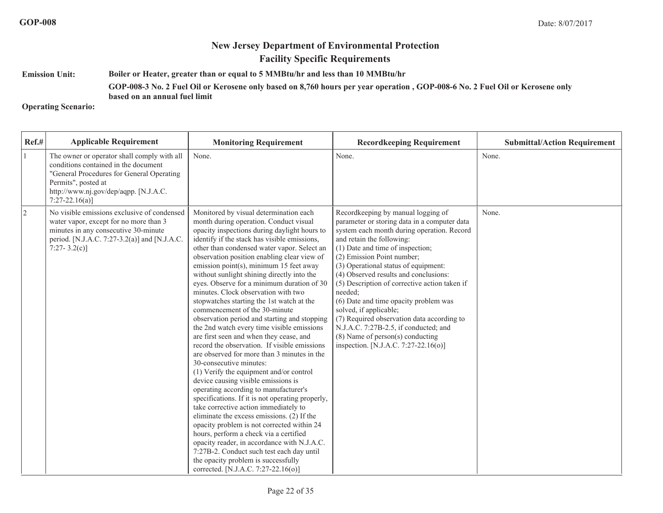#### **Emission Unit:Boiler or Heater, greater than or equal to 5 MMBtu/hr and less than 10 MMBtu/hr**

#### **GOP-008-3 No. 2 Fuel Oil or Kerosene only based on 8,760 hours per year operation , GOP-008-6 No. 2 Fuel Oil or Kerosene only**

**based on an annual fuel limit**

#### **Operating Scenario:**

| $Ref.$ #       | <b>Applicable Requirement</b>                                                                                                                                                                                         | <b>Monitoring Requirement</b>                                                                                                                                                                                                                                                                                                                                                                                                                                                                                                                                                                                                                                                                                                                                                                                                                                                                                                                                                                                                                                                                                                                                                                                                                                                                                                                         | <b>Recordkeeping Requirement</b>                                                                                                                                                                                                                                                                                                                                                                                                                                                                                                                                                                                        | <b>Submittal/Action Requirement</b> |
|----------------|-----------------------------------------------------------------------------------------------------------------------------------------------------------------------------------------------------------------------|-------------------------------------------------------------------------------------------------------------------------------------------------------------------------------------------------------------------------------------------------------------------------------------------------------------------------------------------------------------------------------------------------------------------------------------------------------------------------------------------------------------------------------------------------------------------------------------------------------------------------------------------------------------------------------------------------------------------------------------------------------------------------------------------------------------------------------------------------------------------------------------------------------------------------------------------------------------------------------------------------------------------------------------------------------------------------------------------------------------------------------------------------------------------------------------------------------------------------------------------------------------------------------------------------------------------------------------------------------|-------------------------------------------------------------------------------------------------------------------------------------------------------------------------------------------------------------------------------------------------------------------------------------------------------------------------------------------------------------------------------------------------------------------------------------------------------------------------------------------------------------------------------------------------------------------------------------------------------------------------|-------------------------------------|
| 1              | The owner or operator shall comply with all<br>conditions contained in the document<br>"General Procedures for General Operating<br>Permits", posted at<br>http://www.nj.gov/dep/aqpp. [N.J.A.C.<br>$7:27-22.16(a)$ ] | None.                                                                                                                                                                                                                                                                                                                                                                                                                                                                                                                                                                                                                                                                                                                                                                                                                                                                                                                                                                                                                                                                                                                                                                                                                                                                                                                                                 | None.                                                                                                                                                                                                                                                                                                                                                                                                                                                                                                                                                                                                                   | None.                               |
| $\overline{2}$ | No visible emissions exclusive of condensed<br>water vapor, except for no more than 3<br>minutes in any consecutive 30-minute<br>period. [N.J.A.C. 7:27-3.2(a)] and [N.J.A.C.<br>7:27-3.2(c)]                         | Monitored by visual determination each<br>month during operation. Conduct visual<br>opacity inspections during daylight hours to<br>identify if the stack has visible emissions,<br>other than condensed water vapor. Select an<br>observation position enabling clear view of<br>emission point(s), minimum 15 feet away<br>without sunlight shining directly into the<br>eyes. Observe for a minimum duration of 30<br>minutes. Clock observation with two<br>stopwatches starting the 1st watch at the<br>commencement of the 30-minute<br>observation period and starting and stopping<br>the 2nd watch every time visible emissions<br>are first seen and when they cease, and<br>record the observation. If visible emissions<br>are observed for more than 3 minutes in the<br>30-consecutive minutes:<br>(1) Verify the equipment and/or control<br>device causing visible emissions is<br>operating according to manufacturer's<br>specifications. If it is not operating properly,<br>take corrective action immediately to<br>eliminate the excess emissions. (2) If the<br>opacity problem is not corrected within 24<br>hours, perform a check via a certified<br>opacity reader, in accordance with N.J.A.C.<br>7:27B-2. Conduct such test each day until<br>the opacity problem is successfully<br>corrected. [N.J.A.C. 7:27-22.16(o)] | Recordkeeping by manual logging of<br>parameter or storing data in a computer data<br>system each month during operation. Record<br>and retain the following:<br>(1) Date and time of inspection;<br>(2) Emission Point number;<br>(3) Operational status of equipment:<br>(4) Observed results and conclusions:<br>(5) Description of corrective action taken if<br>needed:<br>(6) Date and time opacity problem was<br>solved, if applicable;<br>(7) Required observation data according to<br>N.J.A.C. 7:27B-2.5, if conducted; and<br>$(8)$ Name of person $(s)$ conducting<br>inspection. [N.J.A.C. 7:27-22.16(o)] | None.                               |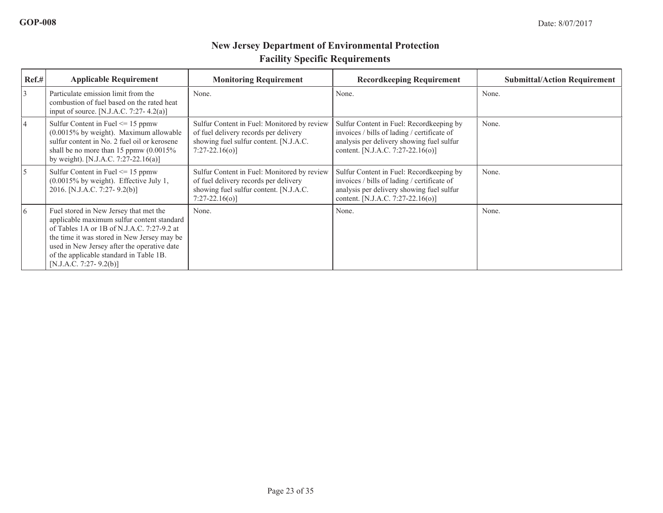| Ref.# | <b>Applicable Requirement</b>                                                                                                                                                                                                                                                                             | <b>Monitoring Requirement</b>                                                                                                                      | <b>Record keeping Requirement</b>                                                                                                                                          | <b>Submittal/Action Requirement</b> |
|-------|-----------------------------------------------------------------------------------------------------------------------------------------------------------------------------------------------------------------------------------------------------------------------------------------------------------|----------------------------------------------------------------------------------------------------------------------------------------------------|----------------------------------------------------------------------------------------------------------------------------------------------------------------------------|-------------------------------------|
| 3     | Particulate emission limit from the<br>combustion of fuel based on the rated heat<br>input of source. [N.J.A.C. 7:27-4.2(a)]                                                                                                                                                                              | None.                                                                                                                                              | None.                                                                                                                                                                      | None.                               |
| 4     | Sulfur Content in Fuel $\leq$ 15 ppmw<br>$(0.0015\%$ by weight). Maximum allowable<br>sulfur content in No. 2 fuel oil or kerosene<br>shall be no more than 15 ppmw $(0.0015\%$<br>by weight). [N.J.A.C. 7:27-22.16(a)]                                                                                   | Sulfur Content in Fuel: Monitored by review<br>of fuel delivery records per delivery<br>showing fuel sulfur content. [N.J.A.C.<br>$7:27-22.16(0)$  | Sulfur Content in Fuel: Record keeping by<br>invoices / bills of lading / certificate of<br>analysis per delivery showing fuel sulfur<br>content. [N.J.A.C. 7:27-22.16(o)] | None.                               |
| 5     | Sulfur Content in Fuel $\leq$ 15 ppmw<br>$(0.0015\%$ by weight). Effective July 1,<br>2016. [N.J.A.C. 7:27- 9.2(b)]                                                                                                                                                                                       | Sulfur Content in Fuel: Monitored by review<br>of fuel delivery records per delivery<br>showing fuel sulfur content. [N.J.A.C.]<br>$7:27-22.16(0)$ | Sulfur Content in Fuel: Recordkeeping by<br>invoices / bills of lading / certificate of<br>analysis per delivery showing fuel sulfur<br>content. [N.J.A.C. 7:27-22.16(o)]  | None.                               |
| 16    | Fuel stored in New Jersey that met the<br>applicable maximum sulfur content standard<br>of Tables 1A or 1B of N.J.A.C. 7:27-9.2 at<br>the time it was stored in New Jersey may be<br>used in New Jersey after the operative date<br>of the applicable standard in Table 1B.<br>[N.J.A.C. 7:27- $9.2(b)$ ] | None.                                                                                                                                              | None.                                                                                                                                                                      | None.                               |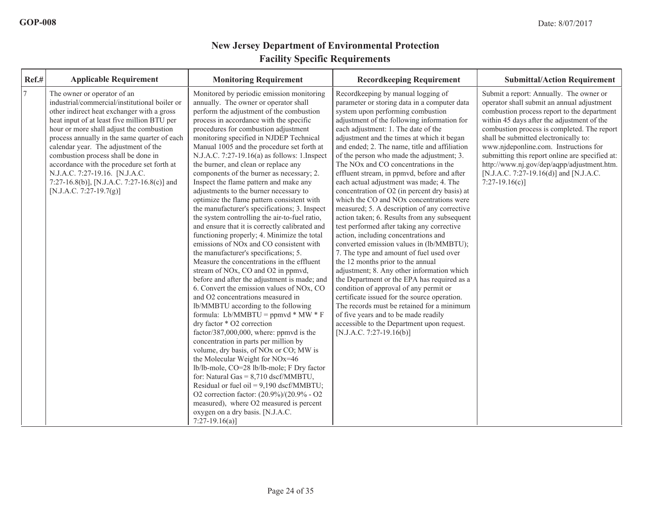| Ref.#          | <b>Applicable Requirement</b>                                                                                                                                                                                                                                                                                                                                                                                                                                                                                 | <b>Monitoring Requirement</b>                                                                                                                                                                                                                                                                                                                                                                                                                                                                                                                                                                                                                                                                                                                                                                                                                                                                                                                                                                                                                                                                                                                                                                                                                                                                                                                                                                                                                                                                                                                                                                                                                                                                                    | <b>Recordkeeping Requirement</b>                                                                                                                                                                                                                                                                                                                                                                                                                                                                                                                                                                                                                                                                                                                                                                                                                                                                                                                                                                                                                                                                                                                                                                                                                                                           | <b>Submittal/Action Requirement</b>                                                                                                                                                                                                                                                                                                                                                                                                                                               |
|----------------|---------------------------------------------------------------------------------------------------------------------------------------------------------------------------------------------------------------------------------------------------------------------------------------------------------------------------------------------------------------------------------------------------------------------------------------------------------------------------------------------------------------|------------------------------------------------------------------------------------------------------------------------------------------------------------------------------------------------------------------------------------------------------------------------------------------------------------------------------------------------------------------------------------------------------------------------------------------------------------------------------------------------------------------------------------------------------------------------------------------------------------------------------------------------------------------------------------------------------------------------------------------------------------------------------------------------------------------------------------------------------------------------------------------------------------------------------------------------------------------------------------------------------------------------------------------------------------------------------------------------------------------------------------------------------------------------------------------------------------------------------------------------------------------------------------------------------------------------------------------------------------------------------------------------------------------------------------------------------------------------------------------------------------------------------------------------------------------------------------------------------------------------------------------------------------------------------------------------------------------|--------------------------------------------------------------------------------------------------------------------------------------------------------------------------------------------------------------------------------------------------------------------------------------------------------------------------------------------------------------------------------------------------------------------------------------------------------------------------------------------------------------------------------------------------------------------------------------------------------------------------------------------------------------------------------------------------------------------------------------------------------------------------------------------------------------------------------------------------------------------------------------------------------------------------------------------------------------------------------------------------------------------------------------------------------------------------------------------------------------------------------------------------------------------------------------------------------------------------------------------------------------------------------------------|-----------------------------------------------------------------------------------------------------------------------------------------------------------------------------------------------------------------------------------------------------------------------------------------------------------------------------------------------------------------------------------------------------------------------------------------------------------------------------------|
| $\overline{7}$ | The owner or operator of an<br>industrial/commercial/institutional boiler or<br>other indirect heat exchanger with a gross<br>heat input of at least five million BTU per<br>hour or more shall adjust the combustion<br>process annually in the same quarter of each<br>calendar year. The adjustment of the<br>combustion process shall be done in<br>accordance with the procedure set forth at<br>N.J.A.C. 7:27-19.16. [N.J.A.C.<br>7:27-16.8(b)], [N.J.A.C. 7:27-16.8(c)] and<br>[N.J.A.C. 7:27-19.7(g)] | Monitored by periodic emission monitoring<br>annually. The owner or operator shall<br>perform the adjustment of the combustion<br>process in accordance with the specific<br>procedures for combustion adjustment<br>monitoring specified in NJDEP Technical<br>Manual 1005 and the procedure set forth at<br>N.J.A.C. 7:27-19.16(a) as follows: 1.Inspect<br>the burner, and clean or replace any<br>components of the burner as necessary; 2.<br>Inspect the flame pattern and make any<br>adjustments to the burner necessary to<br>optimize the flame pattern consistent with<br>the manufacturer's specifications; 3. Inspect<br>the system controlling the air-to-fuel ratio,<br>and ensure that it is correctly calibrated and<br>functioning properly; 4. Minimize the total<br>emissions of NO <sub>x</sub> and CO consistent with<br>the manufacturer's specifications; 5.<br>Measure the concentrations in the effluent<br>stream of NO <sub>x</sub> , CO and O <sub>2</sub> in ppmvd,<br>before and after the adjustment is made; and<br>6. Convert the emission values of NOx, CO<br>and O2 concentrations measured in<br>lb/MMBTU according to the following<br>formula: Lb/MMBTU = ppmvd * MW * F<br>dry factor * O2 correction<br>factor/387,000,000, where: ppmvd is the<br>concentration in parts per million by<br>volume, dry basis, of NO <sub>x</sub> or CO; MW is<br>the Molecular Weight for NOx=46<br>lb/lb-mole, CO=28 lb/lb-mole; F Dry factor<br>for: Natural Gas = $8,710$ dscf/MMBTU,<br>Residual or fuel oil = $9,190$ dscf/MMBTU;<br>O2 correction factor: (20.9%)/(20.9% - O2<br>measured), where O2 measured is percent<br>oxygen on a dry basis. [N.J.A.C.<br>$7:27-19.16(a)$ | Recordkeeping by manual logging of<br>parameter or storing data in a computer data<br>system upon performing combustion<br>adjustment of the following information for<br>each adjustment: 1. The date of the<br>adjustment and the times at which it began<br>and ended; 2. The name, title and affiliation<br>of the person who made the adjustment; 3.<br>The NO <sub>x</sub> and CO concentrations in the<br>effluent stream, in ppmvd, before and after<br>each actual adjustment was made; 4. The<br>concentration of O2 (in percent dry basis) at<br>which the CO and NO <sub>x</sub> concentrations were<br>measured; 5. A description of any corrective<br>action taken; 6. Results from any subsequent<br>test performed after taking any corrective<br>action, including concentrations and<br>converted emission values in (lb/MMBTU);<br>7. The type and amount of fuel used over<br>the 12 months prior to the annual<br>adjustment; 8. Any other information which<br>the Department or the EPA has required as a<br>condition of approval of any permit or<br>certificate issued for the source operation.<br>The records must be retained for a minimum<br>of five years and to be made readily<br>accessible to the Department upon request.<br>[N.J.A.C. 7:27-19.16(b)] | Submit a report: Annually. The owner or<br>operator shall submit an annual adjustment<br>combustion process report to the department<br>within 45 days after the adjustment of the<br>combustion process is completed. The report<br>shall be submitted electronically to:<br>www.njdeponline.com. Instructions for<br>submitting this report online are specified at:<br>http://www.nj.gov/dep/aqpp/adjustment.htm.<br>[N.J.A.C. 7:27-19.16(d)] and [N.J.A.C.<br>$7:27-19.16(c)$ |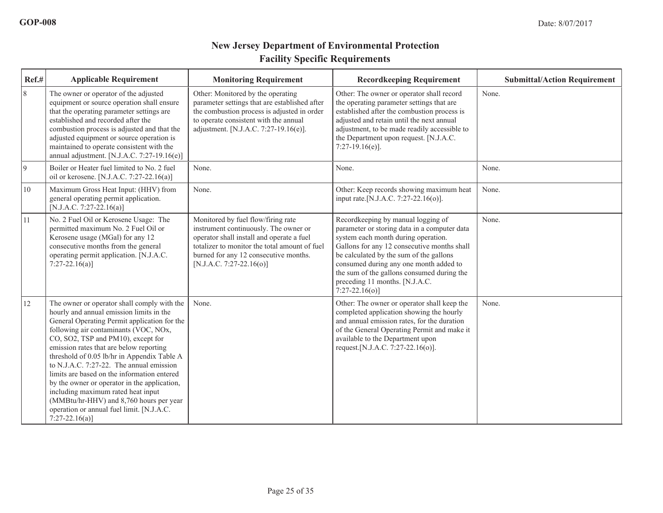| Ref.#       | <b>Applicable Requirement</b>                                                                                                                                                                                                                                                                                                                                                                                                                                                                                                                                                                                | <b>Monitoring Requirement</b>                                                                                                                                                                                                                  | <b>Recordkeeping Requirement</b>                                                                                                                                                                                                                                                                                                                                 | <b>Submittal/Action Requirement</b> |
|-------------|--------------------------------------------------------------------------------------------------------------------------------------------------------------------------------------------------------------------------------------------------------------------------------------------------------------------------------------------------------------------------------------------------------------------------------------------------------------------------------------------------------------------------------------------------------------------------------------------------------------|------------------------------------------------------------------------------------------------------------------------------------------------------------------------------------------------------------------------------------------------|------------------------------------------------------------------------------------------------------------------------------------------------------------------------------------------------------------------------------------------------------------------------------------------------------------------------------------------------------------------|-------------------------------------|
| 8           | The owner or operator of the adjusted<br>equipment or source operation shall ensure<br>that the operating parameter settings are<br>established and recorded after the<br>combustion process is adjusted and that the<br>adjusted equipment or source operation is<br>maintained to operate consistent with the<br>annual adjustment. [N.J.A.C. 7:27-19.16 $(e)$ ]                                                                                                                                                                                                                                           | Other: Monitored by the operating<br>parameter settings that are established after<br>the combustion process is adjusted in order<br>to operate consistent with the annual<br>adjustment. [N.J.A.C. 7:27-19.16(e)].                            | Other: The owner or operator shall record<br>the operating parameter settings that are<br>established after the combustion process is<br>adjusted and retain until the next annual<br>adjustment, to be made readily accessible to<br>the Department upon request. [N.J.A.C.<br>$7:27-19.16(e)$ ].                                                               | None.                               |
| $ 9\rangle$ | Boiler or Heater fuel limited to No. 2 fuel<br>oil or kerosene. [N.J.A.C. 7:27-22.16(a)]                                                                                                                                                                                                                                                                                                                                                                                                                                                                                                                     | None.                                                                                                                                                                                                                                          | None.                                                                                                                                                                                                                                                                                                                                                            | None.                               |
| 10          | Maximum Gross Heat Input: (HHV) from<br>general operating permit application.<br>[N.J.A.C. 7:27-22.16(a)]                                                                                                                                                                                                                                                                                                                                                                                                                                                                                                    | None.                                                                                                                                                                                                                                          | Other: Keep records showing maximum heat<br>input rate.[N.J.A.C. 7:27-22.16(o)].                                                                                                                                                                                                                                                                                 | None.                               |
| 11          | No. 2 Fuel Oil or Kerosene Usage: The<br>permitted maximum No. 2 Fuel Oil or<br>Kerosene usage (MGal) for any 12<br>consecutive months from the general<br>operating permit application. [N.J.A.C.<br>$7:27-22.16(a)$                                                                                                                                                                                                                                                                                                                                                                                        | Monitored by fuel flow/firing rate<br>instrument continuously. The owner or<br>operator shall install and operate a fuel<br>totalizer to monitor the total amount of fuel<br>burned for any 12 consecutive months.<br>[N.J.A.C. 7:27-22.16(o)] | Recordkeeping by manual logging of<br>parameter or storing data in a computer data<br>system each month during operation.<br>Gallons for any 12 consecutive months shall<br>be calculated by the sum of the gallons<br>consumed during any one month added to<br>the sum of the gallons consumed during the<br>preceding 11 months. [N.J.A.C.<br>$7:27-22.16(o)$ | None.                               |
| 12          | The owner or operator shall comply with the<br>hourly and annual emission limits in the<br>General Operating Permit application for the<br>following air contaminants (VOC, NOx,<br>CO, SO2, TSP and PM10), except for<br>emission rates that are below reporting<br>threshold of 0.05 lb/hr in Appendix Table A<br>to N.J.A.C. 7:27-22. The annual emission<br>limits are based on the information entered<br>by the owner or operator in the application,<br>including maximum rated heat input<br>(MMBtu/hr-HHV) and 8,760 hours per year<br>operation or annual fuel limit. [N.J.A.C.<br>$7:27-22.16(a)$ | None.                                                                                                                                                                                                                                          | Other: The owner or operator shall keep the<br>completed application showing the hourly<br>and annual emission rates, for the duration<br>of the General Operating Permit and make it<br>available to the Department upon<br>request. [N.J.A.C. 7:27-22.16(o)].                                                                                                  | None.                               |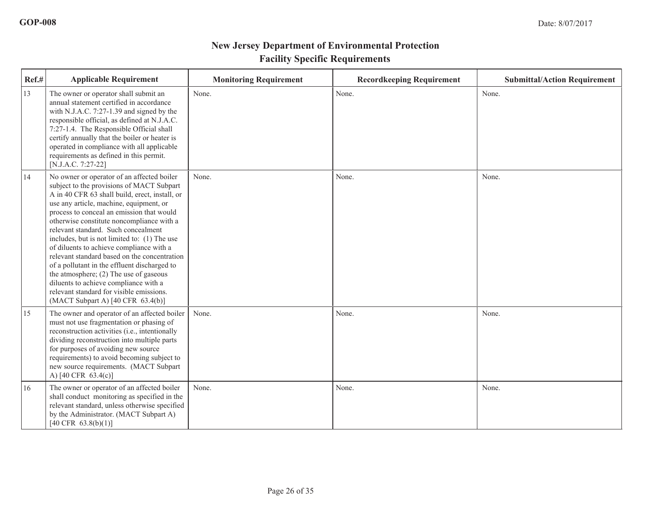| Ref.# | <b>Applicable Requirement</b>                                                                                                                                                                                                                                                                                                                                                                                                                                                                                                                                                                                                                                                           | <b>Monitoring Requirement</b> | <b>Recordkeeping Requirement</b> | <b>Submittal/Action Requirement</b> |
|-------|-----------------------------------------------------------------------------------------------------------------------------------------------------------------------------------------------------------------------------------------------------------------------------------------------------------------------------------------------------------------------------------------------------------------------------------------------------------------------------------------------------------------------------------------------------------------------------------------------------------------------------------------------------------------------------------------|-------------------------------|----------------------------------|-------------------------------------|
| 13    | The owner or operator shall submit an<br>annual statement certified in accordance<br>with N.J.A.C. 7:27-1.39 and signed by the<br>responsible official, as defined at N.J.A.C.<br>7:27-1.4. The Responsible Official shall<br>certify annually that the boiler or heater is<br>operated in compliance with all applicable<br>requirements as defined in this permit.<br>[N.J.A.C. 7:27-22]                                                                                                                                                                                                                                                                                              | None.                         | None.                            | None.                               |
| 14    | No owner or operator of an affected boiler<br>subject to the provisions of MACT Subpart<br>A in 40 CFR 63 shall build, erect, install, or<br>use any article, machine, equipment, or<br>process to conceal an emission that would<br>otherwise constitute noncompliance with a<br>relevant standard. Such concealment<br>includes, but is not limited to: (1) The use<br>of diluents to achieve compliance with a<br>relevant standard based on the concentration<br>of a pollutant in the effluent discharged to<br>the atmosphere; $(2)$ The use of gaseous<br>diluents to achieve compliance with a<br>relevant standard for visible emissions.<br>(MACT Subpart A) [40 CFR 63.4(b)] | None.                         | None.                            | None.                               |
| 15    | The owner and operator of an affected boiler<br>must not use fragmentation or phasing of<br>reconstruction activities (i.e., intentionally<br>dividing reconstruction into multiple parts<br>for purposes of avoiding new source<br>requirements) to avoid becoming subject to<br>new source requirements. (MACT Subpart<br>A) [40 CFR 63.4(c)]                                                                                                                                                                                                                                                                                                                                         | None.                         | None.                            | None.                               |
| 16    | The owner or operator of an affected boiler<br>shall conduct monitoring as specified in the<br>relevant standard, unless otherwise specified<br>by the Administrator. (MACT Subpart A)<br>$[40 \text{ CFR } 63.8(b)(1)]$                                                                                                                                                                                                                                                                                                                                                                                                                                                                | None.                         | None.                            | None.                               |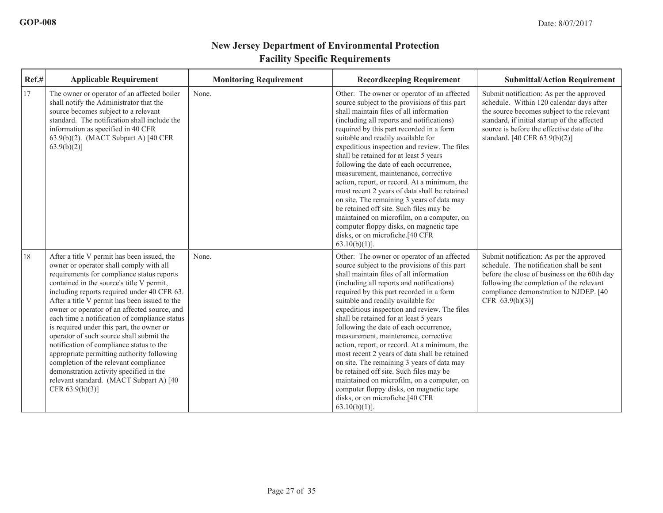| Ref.# | <b>Applicable Requirement</b>                                                                                                                                                                                                                                                                                                                                                                                                                                                                                                                                                                                                                                                                                              | <b>Monitoring Requirement</b> | <b>Recordkeeping Requirement</b>                                                                                                                                                                                                                                                                                                                                                                                                                                                                                                                                                                                                                                                                                                                                                             | <b>Submittal/Action Requirement</b>                                                                                                                                                                                                                               |
|-------|----------------------------------------------------------------------------------------------------------------------------------------------------------------------------------------------------------------------------------------------------------------------------------------------------------------------------------------------------------------------------------------------------------------------------------------------------------------------------------------------------------------------------------------------------------------------------------------------------------------------------------------------------------------------------------------------------------------------------|-------------------------------|----------------------------------------------------------------------------------------------------------------------------------------------------------------------------------------------------------------------------------------------------------------------------------------------------------------------------------------------------------------------------------------------------------------------------------------------------------------------------------------------------------------------------------------------------------------------------------------------------------------------------------------------------------------------------------------------------------------------------------------------------------------------------------------------|-------------------------------------------------------------------------------------------------------------------------------------------------------------------------------------------------------------------------------------------------------------------|
| 17    | The owner or operator of an affected boiler<br>shall notify the Administrator that the<br>source becomes subject to a relevant<br>standard. The notification shall include the<br>information as specified in 40 CFR<br>63.9(b)(2). (MACT Subpart A) [40 CFR<br>$63.9(b)(2)$ ]                                                                                                                                                                                                                                                                                                                                                                                                                                             | None.                         | Other: The owner or operator of an affected<br>source subject to the provisions of this part<br>shall maintain files of all information<br>(including all reports and notifications)<br>required by this part recorded in a form<br>suitable and readily available for<br>expeditious inspection and review. The files<br>shall be retained for at least 5 years<br>following the date of each occurrence,<br>measurement, maintenance, corrective<br>action, report, or record. At a minimum, the<br>most recent 2 years of data shall be retained<br>on site. The remaining 3 years of data may<br>be retained off site. Such files may be<br>maintained on microfilm, on a computer, on<br>computer floppy disks, on magnetic tape<br>disks, or on microfiche.[40 CFR<br>$63.10(b)(1)$ ]. | Submit notification: As per the approved<br>schedule. Within 120 calendar days after<br>the source becomes subject to the relevant<br>standard, if initial startup of the affected<br>source is before the effective date of the<br>standard. [40 CFR 63.9(b)(2)] |
| 18    | After a title V permit has been issued, the<br>owner or operator shall comply with all<br>requirements for compliance status reports<br>contained in the source's title V permit,<br>including reports required under 40 CFR 63.<br>After a title V permit has been issued to the<br>owner or operator of an affected source, and<br>each time a notification of compliance status<br>is required under this part, the owner or<br>operator of such source shall submit the<br>notification of compliance status to the<br>appropriate permitting authority following<br>completion of the relevant compliance<br>demonstration activity specified in the<br>relevant standard. (MACT Subpart A) [40<br>CFR $63.9(h)(3)$ ] | None.                         | Other: The owner or operator of an affected<br>source subject to the provisions of this part<br>shall maintain files of all information<br>(including all reports and notifications)<br>required by this part recorded in a form<br>suitable and readily available for<br>expeditious inspection and review. The files<br>shall be retained for at least 5 years<br>following the date of each occurrence,<br>measurement, maintenance, corrective<br>action, report, or record. At a minimum, the<br>most recent 2 years of data shall be retained<br>on site. The remaining 3 years of data may<br>be retained off site. Such files may be<br>maintained on microfilm, on a computer, on<br>computer floppy disks, on magnetic tape<br>disks, or on microfiche.[40 CFR<br>$63.10(b)(1)$ ]. | Submit notification: As per the approved<br>schedule. The notification shall be sent<br>before the close of business on the 60th day<br>following the completion of the relevant<br>compliance demonstration to NJDEP. [40<br>CFR $63.9(h)(3)$ ]                  |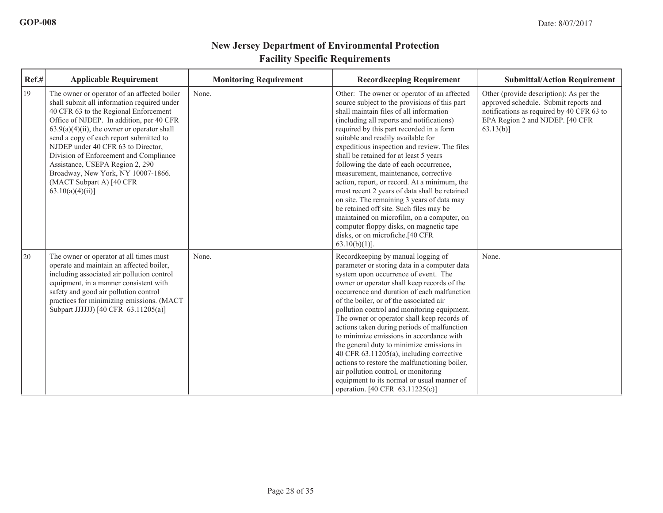| Ref.# | <b>Applicable Requirement</b>                                                                                                                                                                                                                                                                                                                                                                                                                                                        | <b>Monitoring Requirement</b> | <b>Recordkeeping Requirement</b>                                                                                                                                                                                                                                                                                                                                                                                                                                                                                                                                                                                                                                                                                                                                                             | <b>Submittal/Action Requirement</b>                                                                                                                                              |
|-------|--------------------------------------------------------------------------------------------------------------------------------------------------------------------------------------------------------------------------------------------------------------------------------------------------------------------------------------------------------------------------------------------------------------------------------------------------------------------------------------|-------------------------------|----------------------------------------------------------------------------------------------------------------------------------------------------------------------------------------------------------------------------------------------------------------------------------------------------------------------------------------------------------------------------------------------------------------------------------------------------------------------------------------------------------------------------------------------------------------------------------------------------------------------------------------------------------------------------------------------------------------------------------------------------------------------------------------------|----------------------------------------------------------------------------------------------------------------------------------------------------------------------------------|
| 19    | The owner or operator of an affected boiler<br>shall submit all information required under<br>40 CFR 63 to the Regional Enforcement<br>Office of NJDEP. In addition, per 40 CFR<br>$63.9(a)(4)(ii)$ , the owner or operator shall<br>send a copy of each report submitted to<br>NJDEP under 40 CFR 63 to Director,<br>Division of Enforcement and Compliance<br>Assistance, USEPA Region 2, 290<br>Broadway, New York, NY 10007-1866.<br>(MACT Subpart A) [40 CFR<br>63.10(a)(4)(ii) | None.                         | Other: The owner or operator of an affected<br>source subject to the provisions of this part<br>shall maintain files of all information<br>(including all reports and notifications)<br>required by this part recorded in a form<br>suitable and readily available for<br>expeditious inspection and review. The files<br>shall be retained for at least 5 years<br>following the date of each occurrence,<br>measurement, maintenance, corrective<br>action, report, or record. At a minimum, the<br>most recent 2 years of data shall be retained<br>on site. The remaining 3 years of data may<br>be retained off site. Such files may be<br>maintained on microfilm, on a computer, on<br>computer floppy disks, on magnetic tape<br>disks, or on microfiche.[40 CFR<br>$63.10(b)(1)$ ]. | Other (provide description): As per the<br>approved schedule. Submit reports and<br>notifications as required by 40 CFR 63 to<br>EPA Region 2 and NJDEP. [40 CFR<br>$63.13(b)$ ] |
| 20    | The owner or operator at all times must<br>operate and maintain an affected boiler,<br>including associated air pollution control<br>equipment, in a manner consistent with<br>safety and good air pollution control<br>practices for minimizing emissions. (MACT<br>Subpart JJJJJJ) [40 CFR 63.11205(a)]                                                                                                                                                                            | None.                         | Recordkeeping by manual logging of<br>parameter or storing data in a computer data<br>system upon occurrence of event. The<br>owner or operator shall keep records of the<br>occurrence and duration of each malfunction<br>of the boiler, or of the associated air<br>pollution control and monitoring equipment.<br>The owner or operator shall keep records of<br>actions taken during periods of malfunction<br>to minimize emissions in accordance with<br>the general duty to minimize emissions in<br>40 CFR 63.11205(a), including corrective<br>actions to restore the malfunctioning boiler,<br>air pollution control, or monitoring<br>equipment to its normal or usual manner of<br>operation. [40 CFR 63.11225(c)]                                                              | None.                                                                                                                                                                            |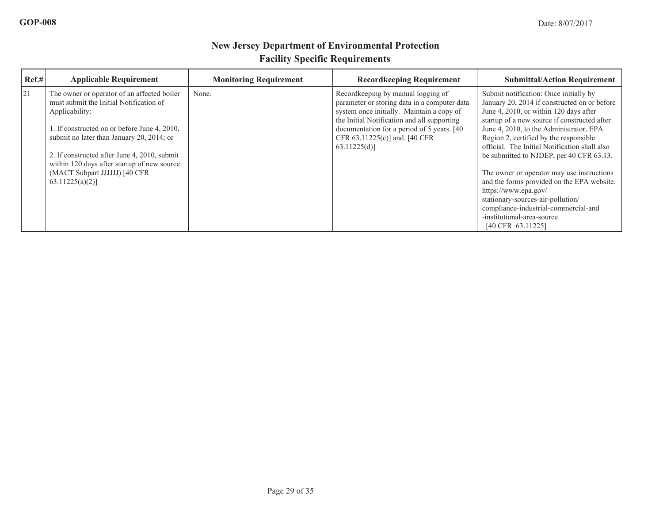| $\text{Ref.}\#$ | <b>Applicable Requirement</b>                                                                            | <b>Monitoring Requirement</b> | <b>Recordkeeping Requirement</b>                                                                                                                                               | <b>Submittal/Action Requirement</b>                                                                                                                                              |
|-----------------|----------------------------------------------------------------------------------------------------------|-------------------------------|--------------------------------------------------------------------------------------------------------------------------------------------------------------------------------|----------------------------------------------------------------------------------------------------------------------------------------------------------------------------------|
| 21              | The owner or operator of an affected boiler<br>must submit the Initial Notification of<br>Applicability: | None.                         | Recordkeeping by manual logging of<br>parameter or storing data in a computer data<br>system once initially. Maintain a copy of<br>the Initial Notification and all supporting | Submit notification: Once initially by<br>January 20, 2014 if constructed on or before<br>June 4, 2010, or within 120 days after<br>startup of a new source if constructed after |
|                 | 1. If constructed on or before June 4, 2010,<br>submit no later than January 20, 2014; or                |                               | documentation for a period of 5 years. [40]<br>CFR 63.11225(c)] and. [40 CFR<br>63.11225(d)                                                                                    | June 4, 2010, to the Administrator, EPA<br>Region 2, certified by the responsible<br>official. The Initial Notification shall also                                               |
|                 | 2. If constructed after June 4, 2010, submit<br>within 120 days after startup of new source.             |                               |                                                                                                                                                                                | be submitted to NJDEP, per 40 CFR 63.13.                                                                                                                                         |
|                 | (MACT Subpart JJJJJJ) [40 CFR<br>$63.11225(a)(2)$ ]                                                      |                               |                                                                                                                                                                                | The owner or operator may use instructions<br>and the forms provided on the EPA website.<br>https://www.epa.gov/                                                                 |
|                 |                                                                                                          |                               |                                                                                                                                                                                | stationary-sources-air-pollution/<br>compliance-industrial-commercial-and<br>-institutional-area-source<br>. [40 CFR 63.11225]                                                   |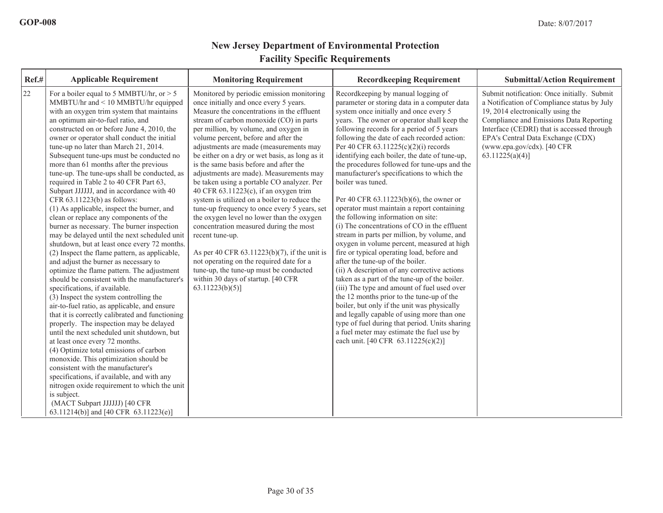| Ref.# | <b>Applicable Requirement</b>                                                                                                                                                                                                                                                                                                                                                                                                                                                                                                                                                                                                                                                                                                                                                                                                                                                                                                                                                                                                                                                                                                                                                                                                                                                                                                                                                                                                                                                                                                                                                                                                 | <b>Monitoring Requirement</b>                                                                                                                                                                                                                                                                                                                                                                                                                                                                                                                                                                                                                                                                                                                                                                                                                                                                                                                     | <b>Recordkeeping Requirement</b>                                                                                                                                                                                                                                                                                                                                                                                                                                                                                                                                                                                                                                                                                                                                                                                                                                                                                                                                                                                                                                                                                                                                                                                                                                                   | <b>Submittal/Action Requirement</b>                                                                                                                                                                                                                                                                               |
|-------|-------------------------------------------------------------------------------------------------------------------------------------------------------------------------------------------------------------------------------------------------------------------------------------------------------------------------------------------------------------------------------------------------------------------------------------------------------------------------------------------------------------------------------------------------------------------------------------------------------------------------------------------------------------------------------------------------------------------------------------------------------------------------------------------------------------------------------------------------------------------------------------------------------------------------------------------------------------------------------------------------------------------------------------------------------------------------------------------------------------------------------------------------------------------------------------------------------------------------------------------------------------------------------------------------------------------------------------------------------------------------------------------------------------------------------------------------------------------------------------------------------------------------------------------------------------------------------------------------------------------------------|---------------------------------------------------------------------------------------------------------------------------------------------------------------------------------------------------------------------------------------------------------------------------------------------------------------------------------------------------------------------------------------------------------------------------------------------------------------------------------------------------------------------------------------------------------------------------------------------------------------------------------------------------------------------------------------------------------------------------------------------------------------------------------------------------------------------------------------------------------------------------------------------------------------------------------------------------|------------------------------------------------------------------------------------------------------------------------------------------------------------------------------------------------------------------------------------------------------------------------------------------------------------------------------------------------------------------------------------------------------------------------------------------------------------------------------------------------------------------------------------------------------------------------------------------------------------------------------------------------------------------------------------------------------------------------------------------------------------------------------------------------------------------------------------------------------------------------------------------------------------------------------------------------------------------------------------------------------------------------------------------------------------------------------------------------------------------------------------------------------------------------------------------------------------------------------------------------------------------------------------|-------------------------------------------------------------------------------------------------------------------------------------------------------------------------------------------------------------------------------------------------------------------------------------------------------------------|
| 22    | For a boiler equal to 5 MMBTU/hr, or $> 5$<br>MMBTU/hr and < 10 MMBTU/hr equipped<br>with an oxygen trim system that maintains<br>an optimum air-to-fuel ratio, and<br>constructed on or before June 4, 2010, the<br>owner or operator shall conduct the initial<br>tune-up no later than March 21, 2014.<br>Subsequent tune-ups must be conducted no<br>more than 61 months after the previous<br>tune-up. The tune-ups shall be conducted, as<br>required in Table 2 to 40 CFR Part 63,<br>Subpart JJJJJJ, and in accordance with 40<br>CFR 63.11223(b) as follows:<br>(1) As applicable, inspect the burner, and<br>clean or replace any components of the<br>burner as necessary. The burner inspection<br>may be delayed until the next scheduled unit<br>shutdown, but at least once every 72 months.<br>(2) Inspect the flame pattern, as applicable,<br>and adjust the burner as necessary to<br>optimize the flame pattern. The adjustment<br>should be consistent with the manufacturer's<br>specifications, if available.<br>(3) Inspect the system controlling the<br>air-to-fuel ratio, as applicable, and ensure<br>that it is correctly calibrated and functioning<br>properly. The inspection may be delayed<br>until the next scheduled unit shutdown, but<br>at least once every 72 months.<br>(4) Optimize total emissions of carbon<br>monoxide. This optimization should be<br>consistent with the manufacturer's<br>specifications, if available, and with any<br>nitrogen oxide requirement to which the unit<br>is subject.<br>(MACT Subpart JJJJJJ) [40 CFR<br>63.11214(b)] and [40 CFR 63.11223(e)] | Monitored by periodic emission monitoring<br>once initially and once every 5 years.<br>Measure the concentrations in the effluent<br>stream of carbon monoxide (CO) in parts<br>per million, by volume, and oxygen in<br>volume percent, before and after the<br>adjustments are made (measurements may<br>be either on a dry or wet basis, as long as it<br>is the same basis before and after the<br>adjustments are made). Measurements may<br>be taken using a portable CO analyzer. Per<br>40 CFR 63.11223(c), if an oxygen trim<br>system is utilized on a boiler to reduce the<br>tune-up frequency to once every 5 years, set<br>the oxygen level no lower than the oxygen<br>concentration measured during the most<br>recent tune-up.<br>As per 40 CFR 63.11223(b)(7), if the unit is<br>not operating on the required date for a<br>tune-up, the tune-up must be conducted<br>within 30 days of startup. [40 CFR<br>$63.11223(b)(5)$ ] | Recordkeeping by manual logging of<br>parameter or storing data in a computer data<br>system once initially and once every 5<br>years. The owner or operator shall keep the<br>following records for a period of 5 years<br>following the date of each recorded action:<br>Per 40 CFR $63.11225(c)(2)(i)$ records<br>identifying each boiler, the date of tune-up,<br>the procedures followed for tune-ups and the<br>manufacturer's specifications to which the<br>boiler was tuned.<br>Per 40 CFR 63.11223(b)(6), the owner or<br>operator must maintain a report containing<br>the following information on site:<br>(i) The concentrations of CO in the effluent<br>stream in parts per million, by volume, and<br>oxygen in volume percent, measured at high<br>fire or typical operating load, before and<br>after the tune-up of the boiler.<br>(ii) A description of any corrective actions<br>taken as a part of the tune-up of the boiler.<br>(iii) The type and amount of fuel used over<br>the 12 months prior to the tune-up of the<br>boiler, but only if the unit was physically<br>and legally capable of using more than one<br>type of fuel during that period. Units sharing<br>a fuel meter may estimate the fuel use by<br>each unit. [40 CFR 63.11225(c)(2)] | Submit notification: Once initially. Submit<br>a Notification of Compliance status by July<br>19, 2014 electronically using the<br>Compliance and Emissions Data Reporting<br>Interface (CEDRI) that is accessed through<br>EPA's Central Data Exchange (CDX)<br>(www.epa.gov/cdx). [40 CFR<br>$63.11225(a)(4)$ ] |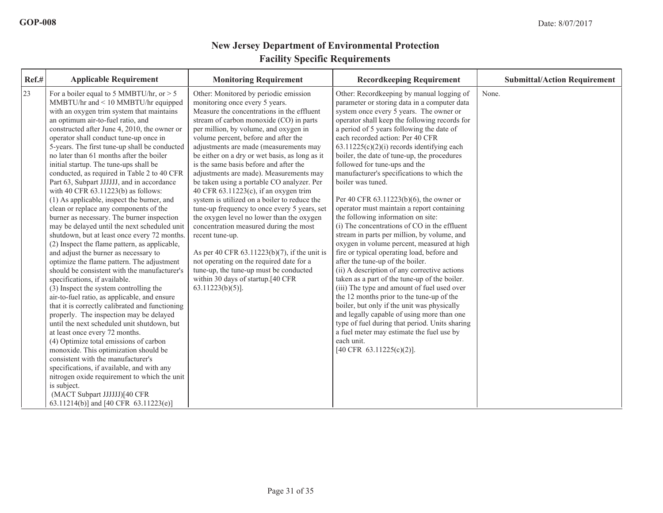| Ref.# | <b>Applicable Requirement</b>                                                                                                                                                                                                                                                                                                                                                                                                                                                                                                                                                                                                                                                                                                                                                                                                                                                                                                                                                                                                                                                                                                                                                                                                                                                                                                                                                                                                                                                                                                                                                                              | <b>Monitoring Requirement</b>                                                                                                                                                                                                                                                                                                                                                                                                                                                                                                                                                                                                                                                                                                                                                                                                                                                                                                            | <b>Recordkeeping Requirement</b>                                                                                                                                                                                                                                                                                                                                                                                                                                                                                                                                                                                                                                                                                                                                                                                                                                                                                                                                                                                                                                                                                                                                                                                                                                              | <b>Submittal/Action Requirement</b> |
|-------|------------------------------------------------------------------------------------------------------------------------------------------------------------------------------------------------------------------------------------------------------------------------------------------------------------------------------------------------------------------------------------------------------------------------------------------------------------------------------------------------------------------------------------------------------------------------------------------------------------------------------------------------------------------------------------------------------------------------------------------------------------------------------------------------------------------------------------------------------------------------------------------------------------------------------------------------------------------------------------------------------------------------------------------------------------------------------------------------------------------------------------------------------------------------------------------------------------------------------------------------------------------------------------------------------------------------------------------------------------------------------------------------------------------------------------------------------------------------------------------------------------------------------------------------------------------------------------------------------------|------------------------------------------------------------------------------------------------------------------------------------------------------------------------------------------------------------------------------------------------------------------------------------------------------------------------------------------------------------------------------------------------------------------------------------------------------------------------------------------------------------------------------------------------------------------------------------------------------------------------------------------------------------------------------------------------------------------------------------------------------------------------------------------------------------------------------------------------------------------------------------------------------------------------------------------|-------------------------------------------------------------------------------------------------------------------------------------------------------------------------------------------------------------------------------------------------------------------------------------------------------------------------------------------------------------------------------------------------------------------------------------------------------------------------------------------------------------------------------------------------------------------------------------------------------------------------------------------------------------------------------------------------------------------------------------------------------------------------------------------------------------------------------------------------------------------------------------------------------------------------------------------------------------------------------------------------------------------------------------------------------------------------------------------------------------------------------------------------------------------------------------------------------------------------------------------------------------------------------|-------------------------------------|
| 23    | For a boiler equal to 5 MMBTU/hr, or $> 5$<br>$MMB T U/hr$ and $\leq 10$ MMBTU/hr equipped<br>with an oxygen trim system that maintains<br>an optimum air-to-fuel ratio, and<br>constructed after June 4, 2010, the owner or<br>operator shall conduct tune-up once in<br>5-years. The first tune-up shall be conducted<br>no later than 61 months after the boiler<br>initial startup. The tune-ups shall be<br>conducted, as required in Table 2 to 40 CFR<br>Part 63, Subpart JJJJJJ, and in accordance<br>with 40 CFR $63.11223(b)$ as follows:<br>(1) As applicable, inspect the burner, and<br>clean or replace any components of the<br>burner as necessary. The burner inspection<br>may be delayed until the next scheduled unit<br>shutdown, but at least once every 72 months.<br>(2) Inspect the flame pattern, as applicable,<br>and adjust the burner as necessary to<br>optimize the flame pattern. The adjustment<br>should be consistent with the manufacturer's<br>specifications, if available.<br>(3) Inspect the system controlling the<br>air-to-fuel ratio, as applicable, and ensure<br>that it is correctly calibrated and functioning<br>properly. The inspection may be delayed<br>until the next scheduled unit shutdown, but<br>at least once every 72 months.<br>(4) Optimize total emissions of carbon<br>monoxide. This optimization should be<br>consistent with the manufacturer's<br>specifications, if available, and with any<br>nitrogen oxide requirement to which the unit<br>is subject.<br>(MACT Subpart JJJJJJ)[40 CFR<br>63.11214(b)] and [40 CFR 63.11223(e)] | Other: Monitored by periodic emission<br>monitoring once every 5 years.<br>Measure the concentrations in the effluent<br>stream of carbon monoxide (CO) in parts<br>per million, by volume, and oxygen in<br>volume percent, before and after the<br>adjustments are made (measurements may<br>be either on a dry or wet basis, as long as it<br>is the same basis before and after the<br>adjustments are made). Measurements may<br>be taken using a portable CO analyzer. Per<br>40 CFR $63.11223(c)$ , if an oxygen trim<br>system is utilized on a boiler to reduce the<br>tune-up frequency to once every 5 years, set<br>the oxygen level no lower than the oxygen<br>concentration measured during the most<br>recent tune-up.<br>As per 40 CFR 63.11223(b)(7), if the unit is<br>not operating on the required date for a<br>tune-up, the tune-up must be conducted<br>within 30 days of startup.[40 CFR<br>$63.11223(b)(5)$ ]. | Other: Recordkeeping by manual logging of<br>parameter or storing data in a computer data<br>system once every 5 years. The owner or<br>operator shall keep the following records for<br>a period of 5 years following the date of<br>each recorded action: Per 40 CFR<br>$63.11225(c)(2)(i)$ records identifying each<br>boiler, the date of tune-up, the procedures<br>followed for tune-ups and the<br>manufacturer's specifications to which the<br>boiler was tuned.<br>Per 40 CFR $63.11223(b)(6)$ , the owner or<br>operator must maintain a report containing<br>the following information on site:<br>(i) The concentrations of CO in the effluent<br>stream in parts per million, by volume, and<br>oxygen in volume percent, measured at high<br>fire or typical operating load, before and<br>after the tune-up of the boiler.<br>(ii) A description of any corrective actions<br>taken as a part of the tune-up of the boiler.<br>(iii) The type and amount of fuel used over<br>the 12 months prior to the tune-up of the<br>boiler, but only if the unit was physically<br>and legally capable of using more than one<br>type of fuel during that period. Units sharing<br>a fuel meter may estimate the fuel use by<br>each unit.<br>[40 CFR 63.11225(c)(2)]. | None.                               |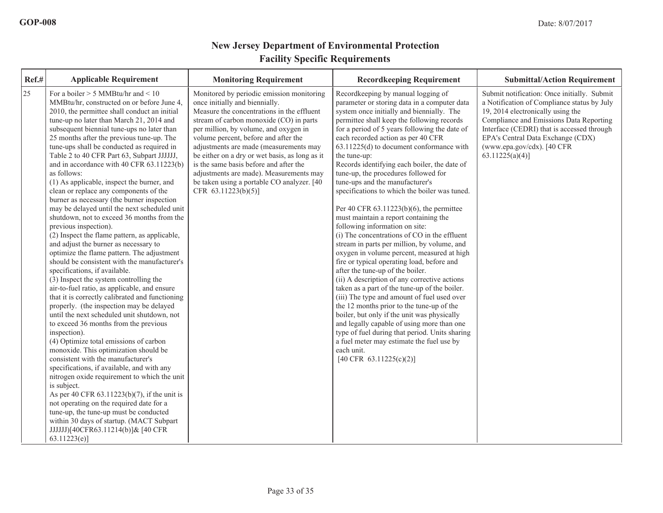| Ref.# | <b>Applicable Requirement</b>                                                                                                                                                                                                                                                                                                                                                                                                                                                                                                                                                                                                                                                                                                                                                                                                                                                                                                                                                                                                                                                                                                                                                                                                                                                                                                                                                                                                                                                                                                                                                                                                                                                                                | <b>Monitoring Requirement</b>                                                                                                                                                                                                                                                                                                                                                                                                                                                                               | <b>Recordkeeping Requirement</b>                                                                                                                                                                                                                                                                                                                                                                                                                                                                                                                                                                                                                                                                                                                                                                                                                                                                                                                                                                                                                                                                                                                                                                                                                                                                        | <b>Submittal/Action Requirement</b>                                                                                                                                                                                                                                                                               |
|-------|--------------------------------------------------------------------------------------------------------------------------------------------------------------------------------------------------------------------------------------------------------------------------------------------------------------------------------------------------------------------------------------------------------------------------------------------------------------------------------------------------------------------------------------------------------------------------------------------------------------------------------------------------------------------------------------------------------------------------------------------------------------------------------------------------------------------------------------------------------------------------------------------------------------------------------------------------------------------------------------------------------------------------------------------------------------------------------------------------------------------------------------------------------------------------------------------------------------------------------------------------------------------------------------------------------------------------------------------------------------------------------------------------------------------------------------------------------------------------------------------------------------------------------------------------------------------------------------------------------------------------------------------------------------------------------------------------------------|-------------------------------------------------------------------------------------------------------------------------------------------------------------------------------------------------------------------------------------------------------------------------------------------------------------------------------------------------------------------------------------------------------------------------------------------------------------------------------------------------------------|---------------------------------------------------------------------------------------------------------------------------------------------------------------------------------------------------------------------------------------------------------------------------------------------------------------------------------------------------------------------------------------------------------------------------------------------------------------------------------------------------------------------------------------------------------------------------------------------------------------------------------------------------------------------------------------------------------------------------------------------------------------------------------------------------------------------------------------------------------------------------------------------------------------------------------------------------------------------------------------------------------------------------------------------------------------------------------------------------------------------------------------------------------------------------------------------------------------------------------------------------------------------------------------------------------|-------------------------------------------------------------------------------------------------------------------------------------------------------------------------------------------------------------------------------------------------------------------------------------------------------------------|
| 25    | For a boiler $> 5$ MMBtu/hr and $< 10$<br>MMBtu/hr, constructed on or before June 4,<br>2010, the permittee shall conduct an initial<br>tune-up no later than March 21, 2014 and<br>subsequent biennial tune-ups no later than<br>25 months after the previous tune-up. The<br>tune-ups shall be conducted as required in<br>Table 2 to 40 CFR Part 63, Subpart JJJJJJ,<br>and in accordance with 40 CFR 63.11223(b)<br>as follows:<br>(1) As applicable, inspect the burner, and<br>clean or replace any components of the<br>burner as necessary (the burner inspection<br>may be delayed until the next scheduled unit<br>shutdown, not to exceed 36 months from the<br>previous inspection).<br>(2) Inspect the flame pattern, as applicable,<br>and adjust the burner as necessary to<br>optimize the flame pattern. The adjustment<br>should be consistent with the manufacturer's<br>specifications, if available.<br>$(3)$ Inspect the system controlling the<br>air-to-fuel ratio, as applicable, and ensure<br>that it is correctly calibrated and functioning<br>properly. (the inspection may be delayed<br>until the next scheduled unit shutdown, not<br>to exceed 36 months from the previous<br>inspection).<br>(4) Optimize total emissions of carbon<br>monoxide. This optimization should be<br>consistent with the manufacturer's<br>specifications, if available, and with any<br>nitrogen oxide requirement to which the unit<br>is subject.<br>As per 40 CFR $63.11223(b)(7)$ , if the unit is<br>not operating on the required date for a<br>tune-up, the tune-up must be conducted<br>within 30 days of startup. (MACT Subpart<br>JJJJJJJ[40CFR63.11214(b)]& [40 CFR<br>63.11223(e) | Monitored by periodic emission monitoring<br>once initially and biennially.<br>Measure the concentrations in the effluent<br>stream of carbon monoxide (CO) in parts<br>per million, by volume, and oxygen in<br>volume percent, before and after the<br>adjustments are made (measurements may<br>be either on a dry or wet basis, as long as it<br>is the same basis before and after the<br>adjustments are made). Measurements may<br>be taken using a portable CO analyzer. [40<br>CFR 63.11223(b)(5)] | Recordkeeping by manual logging of<br>parameter or storing data in a computer data<br>system once initially and biennially. The<br>permittee shall keep the following records<br>for a period of 5 years following the date of<br>each recorded action as per 40 CFR<br>63.11225(d) to document conformance with<br>the tune-up:<br>Records identifying each boiler, the date of<br>tune-up, the procedures followed for<br>tune-ups and the manufacturer's<br>specifications to which the boiler was tuned.<br>Per 40 CFR $63.11223(b)(6)$ , the permittee<br>must maintain a report containing the<br>following information on site:<br>(i) The concentrations of CO in the effluent<br>stream in parts per million, by volume, and<br>oxygen in volume percent, measured at high<br>fire or typical operating load, before and<br>after the tune-up of the boiler.<br>(ii) A description of any corrective actions<br>taken as a part of the tune-up of the boiler.<br>(iii) The type and amount of fuel used over<br>the 12 months prior to the tune-up of the<br>boiler, but only if the unit was physically<br>and legally capable of using more than one<br>type of fuel during that period. Units sharing<br>a fuel meter may estimate the fuel use by<br>each unit.<br>[40 CFR 63.11225(c)(2)] | Submit notification: Once initially. Submit<br>a Notification of Compliance status by July<br>19, 2014 electronically using the<br>Compliance and Emissions Data Reporting<br>Interface (CEDRI) that is accessed through<br>EPA's Central Data Exchange (CDX)<br>(www.epa.gov/cdx). [40 CFR<br>$63.11225(a)(4)$ ] |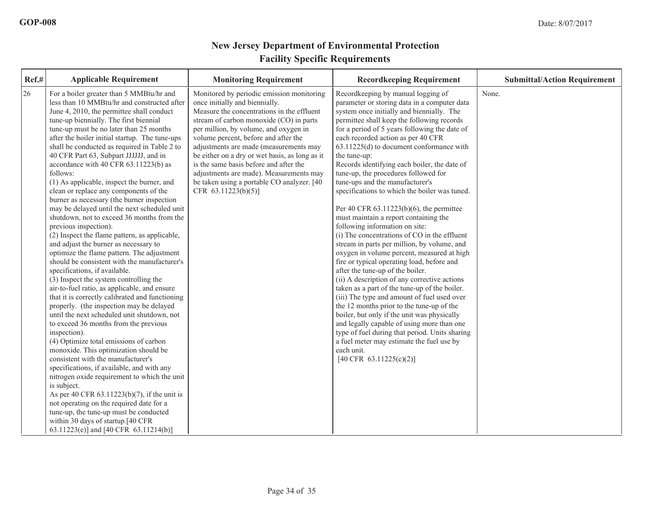| Ref.# | <b>Applicable Requirement</b>                                                                                                                                                                                                                                                                                                                                                                                                                                                                                                                                                                                                                                                                                                                                                                                                                                                                                                                                                                                                                                                                                                                                                                                                                                                                                                                                                                                                                                                                                                                                                                                                                                               | <b>Monitoring Requirement</b>                                                                                                                                                                                                                                                                                                                                                                                                                                                                                | <b>Recordkeeping Requirement</b>                                                                                                                                                                                                                                                                                                                                                                                                                                                                                                                                                                                                                                                                                                                                                                                                                                                                                                                                                                                                                                                                                                                                                                                                                                                                        | <b>Submittal/Action Requirement</b> |
|-------|-----------------------------------------------------------------------------------------------------------------------------------------------------------------------------------------------------------------------------------------------------------------------------------------------------------------------------------------------------------------------------------------------------------------------------------------------------------------------------------------------------------------------------------------------------------------------------------------------------------------------------------------------------------------------------------------------------------------------------------------------------------------------------------------------------------------------------------------------------------------------------------------------------------------------------------------------------------------------------------------------------------------------------------------------------------------------------------------------------------------------------------------------------------------------------------------------------------------------------------------------------------------------------------------------------------------------------------------------------------------------------------------------------------------------------------------------------------------------------------------------------------------------------------------------------------------------------------------------------------------------------------------------------------------------------|--------------------------------------------------------------------------------------------------------------------------------------------------------------------------------------------------------------------------------------------------------------------------------------------------------------------------------------------------------------------------------------------------------------------------------------------------------------------------------------------------------------|---------------------------------------------------------------------------------------------------------------------------------------------------------------------------------------------------------------------------------------------------------------------------------------------------------------------------------------------------------------------------------------------------------------------------------------------------------------------------------------------------------------------------------------------------------------------------------------------------------------------------------------------------------------------------------------------------------------------------------------------------------------------------------------------------------------------------------------------------------------------------------------------------------------------------------------------------------------------------------------------------------------------------------------------------------------------------------------------------------------------------------------------------------------------------------------------------------------------------------------------------------------------------------------------------------|-------------------------------------|
| 26    | For a boiler greater than 5 MMBtu/hr and<br>less than 10 MMBtu/hr and constructed after<br>June 4, 2010, the permittee shall conduct<br>tune-up biennially. The first biennial<br>tune-up must be no later than 25 months<br>after the boiler initial startup. The tune-ups<br>shall be conducted as required in Table 2 to<br>40 CFR Part 63, Subpart JJJJJJ, and in<br>accordance with 40 CFR 63.11223(b) as<br>follows:<br>(1) As applicable, inspect the burner, and<br>clean or replace any components of the<br>burner as necessary (the burner inspection<br>may be delayed until the next scheduled unit<br>shutdown, not to exceed 36 months from the<br>previous inspection).<br>(2) Inspect the flame pattern, as applicable,<br>and adjust the burner as necessary to<br>optimize the flame pattern. The adjustment<br>should be consistent with the manufacturer's<br>specifications, if available.<br>(3) Inspect the system controlling the<br>air-to-fuel ratio, as applicable, and ensure<br>that it is correctly calibrated and functioning<br>properly. (the inspection may be delayed<br>until the next scheduled unit shutdown, not<br>to exceed 36 months from the previous<br>inspection).<br>(4) Optimize total emissions of carbon<br>monoxide. This optimization should be<br>consistent with the manufacturer's<br>specifications, if available, and with any<br>nitrogen oxide requirement to which the unit<br>is subject.<br>As per 40 CFR 63.11223(b)(7), if the unit is<br>not operating on the required date for a<br>tune-up, the tune-up must be conducted<br>within 30 days of startup.[40 CFR<br>63.11223(e)] and [40 CFR 63.11214(b)] | Monitored by periodic emission monitoring<br>once initially and biennially.<br>Measure the concentrations in the effluent<br>stream of carbon monoxide (CO) in parts<br>per million, by volume, and oxygen in<br>volume percent, before and after the<br>adjustments are made (measurements may<br>be either on a dry or wet basis, as long as it<br>is the same basis before and after the<br>adjustments are made). Measurements may<br>be taken using a portable CO analyzer. [40]<br>CFR 63.11223(b)(5)] | Recordkeeping by manual logging of<br>parameter or storing data in a computer data<br>system once initially and biennially. The<br>permittee shall keep the following records<br>for a period of 5 years following the date of<br>each recorded action as per 40 CFR<br>63.11225(d) to document conformance with<br>the tune-up:<br>Records identifying each boiler, the date of<br>tune-up, the procedures followed for<br>tune-ups and the manufacturer's<br>specifications to which the boiler was tuned.<br>Per 40 CFR $63.11223(b)(6)$ , the permittee<br>must maintain a report containing the<br>following information on site:<br>(i) The concentrations of CO in the effluent<br>stream in parts per million, by volume, and<br>oxygen in volume percent, measured at high<br>fire or typical operating load, before and<br>after the tune-up of the boiler.<br>(ii) A description of any corrective actions<br>taken as a part of the tune-up of the boiler.<br>(iii) The type and amount of fuel used over<br>the 12 months prior to the tune-up of the<br>boiler, but only if the unit was physically<br>and legally capable of using more than one<br>type of fuel during that period. Units sharing<br>a fuel meter may estimate the fuel use by<br>each unit.<br>[40 CFR 63.11225(c)(2)] | None.                               |